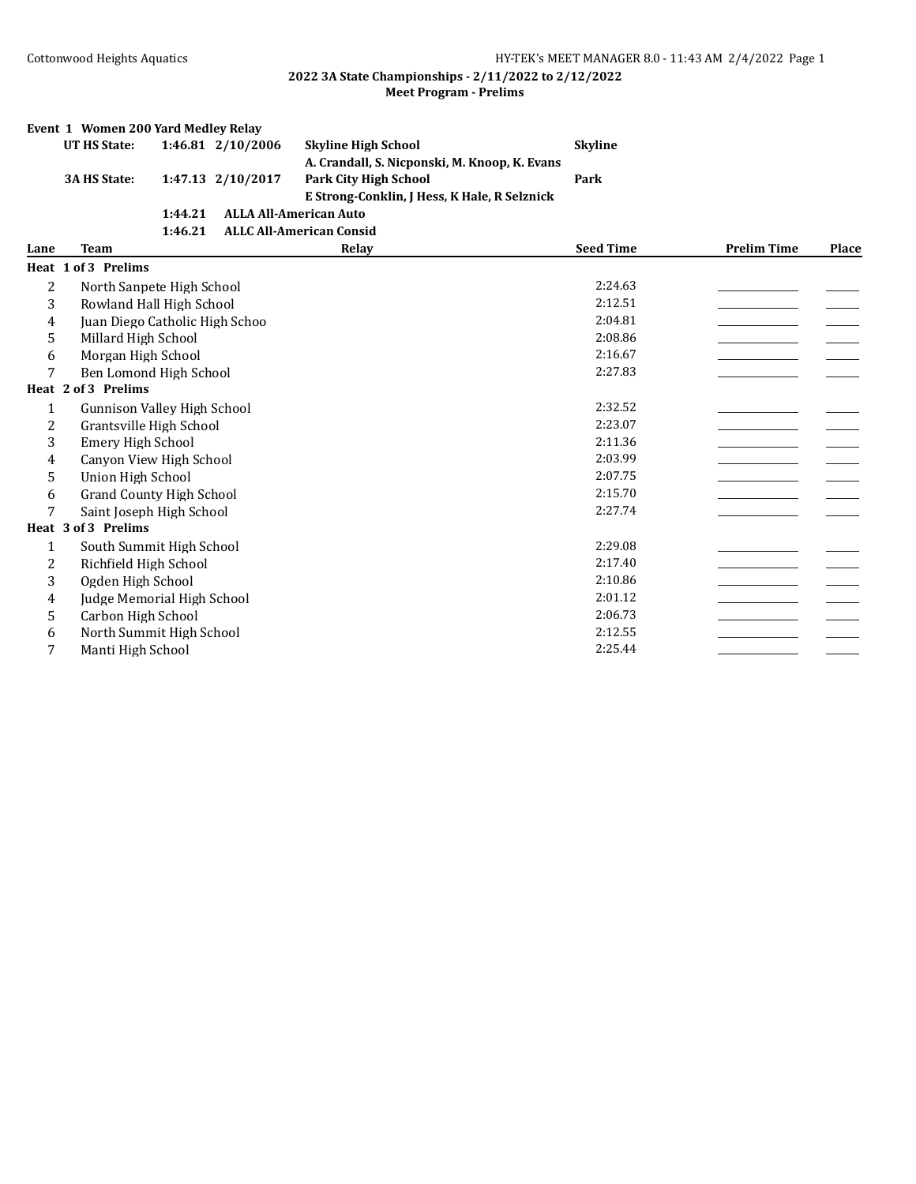|              | Event 1 Women 200 Yard Medley Relay |         |                   |                                               |                  |                    |       |
|--------------|-------------------------------------|---------|-------------------|-----------------------------------------------|------------------|--------------------|-------|
|              | <b>UT HS State:</b>                 |         | 1:46.81 2/10/2006 | <b>Skyline High School</b>                    | <b>Skyline</b>   |                    |       |
|              |                                     |         |                   | A. Crandall, S. Nicponski, M. Knoop, K. Evans |                  |                    |       |
|              | <b>3A HS State:</b>                 |         | 1:47.13 2/10/2017 | <b>Park City High School</b>                  | Park             |                    |       |
|              |                                     |         |                   | E Strong-Conklin, J Hess, K Hale, R Selznick  |                  |                    |       |
|              |                                     | 1:44.21 |                   | <b>ALLA All-American Auto</b>                 |                  |                    |       |
|              |                                     | 1:46.21 |                   | <b>ALLC All-American Consid</b>               |                  |                    |       |
| Lane         | <b>Team</b>                         |         |                   | Relay                                         | <b>Seed Time</b> | <b>Prelim Time</b> | Place |
|              | Heat 1 of 3 Prelims                 |         |                   |                                               |                  |                    |       |
| 2            | North Sanpete High School           |         |                   |                                               | 2:24.63          |                    |       |
| 3            | Rowland Hall High School            |         |                   |                                               | 2:12.51          |                    |       |
| 4            | Juan Diego Catholic High Schoo      |         |                   |                                               | 2:04.81          |                    |       |
| 5            | Millard High School                 |         |                   |                                               | 2:08.86          |                    |       |
| 6            | Morgan High School                  |         |                   |                                               | 2:16.67          |                    |       |
| 7            | Ben Lomond High School              |         |                   |                                               | 2:27.83          |                    |       |
|              | Heat 2 of 3 Prelims                 |         |                   |                                               |                  |                    |       |
| $\mathbf{1}$ | Gunnison Valley High School         |         |                   |                                               | 2:32.52          |                    |       |
| 2            | Grantsville High School             |         |                   |                                               | 2:23.07          |                    |       |
| 3            | <b>Emery High School</b>            |         |                   |                                               | 2:11.36          |                    |       |
| 4            | Canyon View High School             |         |                   |                                               | 2:03.99          |                    |       |
| 5            | Union High School                   |         |                   |                                               | 2:07.75          |                    |       |
| 6            | <b>Grand County High School</b>     |         |                   |                                               | 2:15.70          |                    |       |
| 7            | Saint Joseph High School            |         |                   |                                               | 2:27.74          |                    |       |
|              | Heat 3 of 3 Prelims                 |         |                   |                                               |                  |                    |       |
| $\mathbf{1}$ | South Summit High School            |         |                   |                                               | 2:29.08          |                    |       |
| 2            | Richfield High School               |         |                   |                                               | 2:17.40          |                    |       |
| 3            | Ogden High School                   |         |                   |                                               | 2:10.86          |                    |       |
| 4            | Judge Memorial High School          |         |                   |                                               | 2:01.12          |                    |       |
| 5            | Carbon High School                  |         |                   |                                               | 2:06.73          |                    |       |
| 6            | North Summit High School            |         |                   |                                               | 2:12.55          |                    |       |
| 7            | Manti High School                   |         |                   |                                               | 2:25.44          |                    |       |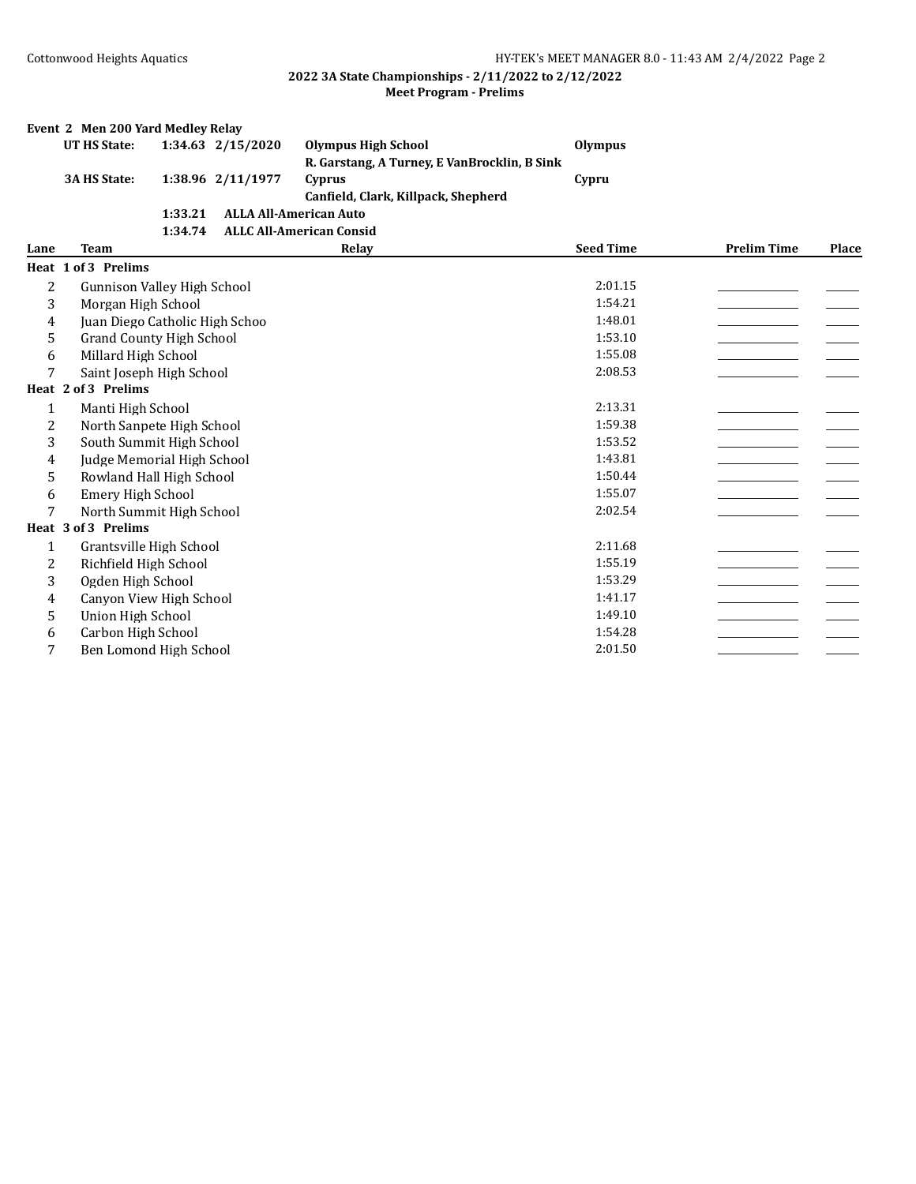|                | Event 2 Men 200 Yard Medley Relay  |         |                   |                                              |                  |                    |       |
|----------------|------------------------------------|---------|-------------------|----------------------------------------------|------------------|--------------------|-------|
|                | <b>UT HS State:</b>                |         | 1:34.63 2/15/2020 | <b>Olympus High School</b>                   | <b>Olympus</b>   |                    |       |
|                |                                    |         |                   | R. Garstang, A Turney, E VanBrocklin, B Sink |                  |                    |       |
|                | <b>3A HS State:</b>                |         | 1:38.96 2/11/1977 | Cyprus                                       | Cypru            |                    |       |
|                |                                    |         |                   | Canfield, Clark, Killpack, Shepherd          |                  |                    |       |
|                |                                    | 1:33.21 |                   | <b>ALLA All-American Auto</b>                |                  |                    |       |
|                |                                    | 1:34.74 |                   | <b>ALLC All-American Consid</b>              |                  |                    |       |
| Lane           | <b>Team</b>                        |         |                   | Relay                                        | <b>Seed Time</b> | <b>Prelim Time</b> | Place |
|                | Heat 1 of 3 Prelims                |         |                   |                                              |                  |                    |       |
| $\overline{c}$ | <b>Gunnison Valley High School</b> |         |                   |                                              | 2:01.15          |                    |       |
| 3              | Morgan High School                 |         |                   |                                              | 1:54.21          |                    |       |
| 4              | Juan Diego Catholic High Schoo     |         |                   |                                              | 1:48.01          |                    |       |
| 5              | <b>Grand County High School</b>    |         |                   |                                              | 1:53.10          |                    |       |
| 6              | Millard High School                |         |                   |                                              | 1:55.08          |                    |       |
| 7              | Saint Joseph High School           |         |                   |                                              | 2:08.53          |                    |       |
|                | Heat 2 of 3 Prelims                |         |                   |                                              |                  |                    |       |
| $\mathbf{1}$   | Manti High School                  |         |                   |                                              | 2:13.31          |                    |       |
| 2              | North Sanpete High School          |         |                   |                                              | 1:59.38          |                    |       |
| 3              | South Summit High School           |         |                   |                                              | 1:53.52          |                    |       |
| 4              | Judge Memorial High School         |         |                   |                                              | 1:43.81          |                    |       |
| 5              | Rowland Hall High School           |         |                   |                                              | 1:50.44          |                    |       |
| 6              | <b>Emery High School</b>           |         |                   |                                              | 1:55.07          |                    |       |
| 7              | North Summit High School           |         |                   |                                              | 2:02.54          |                    |       |
|                | Heat 3 of 3 Prelims                |         |                   |                                              |                  |                    |       |
| 1              | Grantsville High School            |         |                   |                                              | 2:11.68          |                    |       |
| 2              | Richfield High School              |         |                   |                                              | 1:55.19          |                    |       |
| 3              | Ogden High School                  |         |                   |                                              | 1:53.29          |                    |       |
| 4              | Canyon View High School            |         |                   |                                              | 1:41.17          |                    |       |
| 5              | <b>Union High School</b>           |         |                   |                                              | 1:49.10          |                    |       |
| 6              | Carbon High School                 |         |                   |                                              | 1:54.28          |                    |       |
| 7              | Ben Lomond High School             |         |                   |                                              | 2:01.50          |                    |       |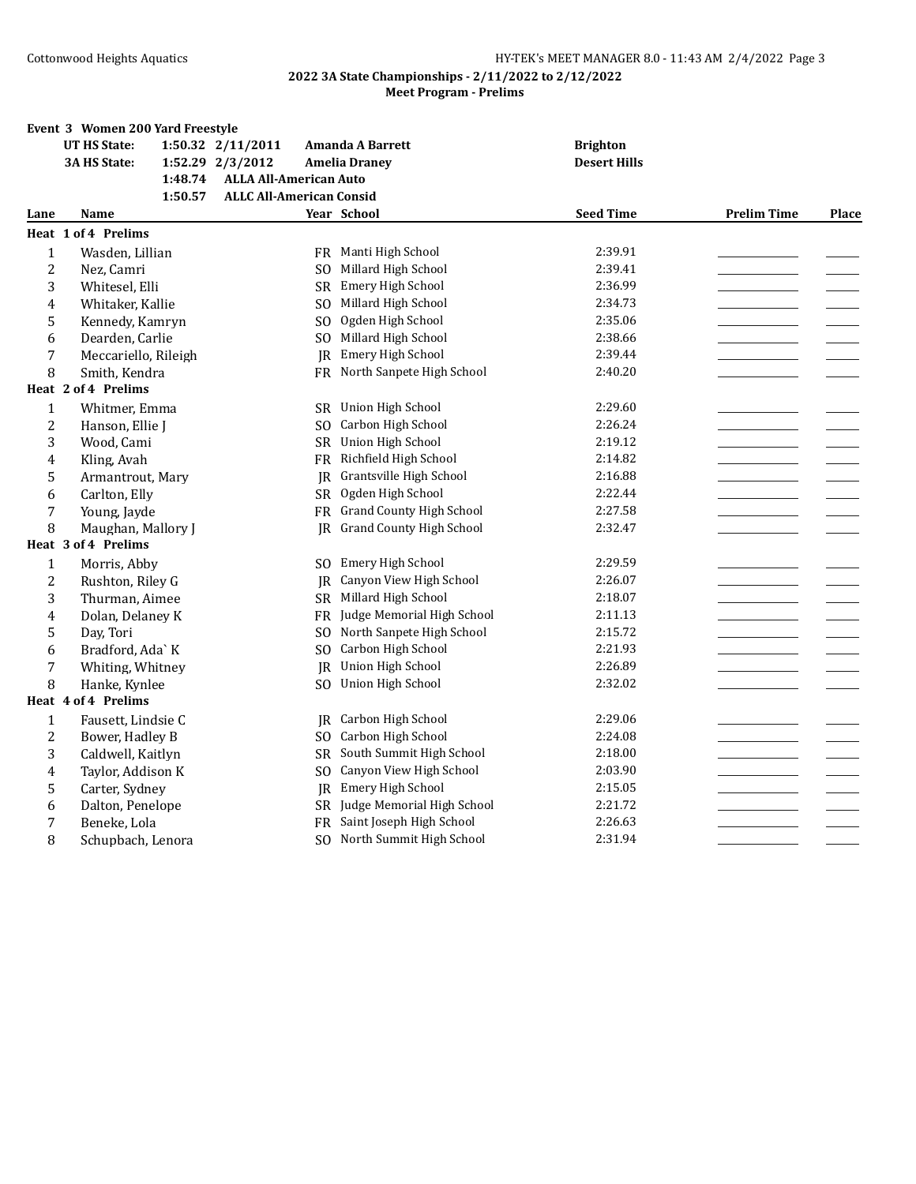|                | Event 3 Women 200 Yard Freestyle |                                 |                |                                 |                     |                    |       |
|----------------|----------------------------------|---------------------------------|----------------|---------------------------------|---------------------|--------------------|-------|
|                | <b>UT HS State:</b>              | 1:50.32 2/11/2011               |                | <b>Amanda A Barrett</b>         | <b>Brighton</b>     |                    |       |
|                | <b>3A HS State:</b>              | 1:52.29 2/3/2012                |                | <b>Amelia Dranev</b>            | <b>Desert Hills</b> |                    |       |
|                | 1:48.74                          | <b>ALLA All-American Auto</b>   |                |                                 |                     |                    |       |
|                | 1:50.57                          | <b>ALLC All-American Consid</b> |                |                                 |                     |                    |       |
| Lane           | <b>Name</b>                      |                                 |                | Year School                     | <b>Seed Time</b>    | <b>Prelim Time</b> | Place |
|                | Heat 1 of 4 Prelims              |                                 |                |                                 |                     |                    |       |
| $\mathbf{1}$   | Wasden, Lillian                  |                                 |                | FR Manti High School            | 2:39.91             |                    |       |
| $\overline{c}$ | Nez, Camri                       |                                 | SO.            | Millard High School             | 2:39.41             |                    |       |
| 3              | Whitesel, Elli                   |                                 |                | SR Emery High School            | 2:36.99             |                    |       |
| 4              | Whitaker, Kallie                 |                                 | SO.            | Millard High School             | 2:34.73             |                    |       |
| 5              | Kennedy, Kamryn                  |                                 | S <sub>O</sub> | Ogden High School               | 2:35.06             |                    |       |
| 6              | Dearden, Carlie                  |                                 | SO.            | Millard High School             | 2:38.66             |                    |       |
| 7              | Meccariello, Rileigh             |                                 | IR.            | Emery High School               | 2:39.44             |                    |       |
| 8              | Smith, Kendra                    |                                 |                | FR North Sanpete High School    | 2:40.20             |                    |       |
|                | Heat 2 of 4 Prelims              |                                 |                |                                 |                     |                    |       |
| $\mathbf{1}$   | Whitmer, Emma                    |                                 | <b>SR</b>      | Union High School               | 2:29.60             |                    |       |
| $\overline{c}$ | Hanson, Ellie J                  |                                 | SO.            | Carbon High School              | 2:26.24             |                    |       |
| 3              | Wood, Cami                       |                                 |                | SR Union High School            | 2:19.12             |                    |       |
| 4              | Kling, Avah                      |                                 | <b>FR</b>      | Richfield High School           | 2:14.82             |                    |       |
| 5              | Armantrout, Mary                 |                                 | IR             | Grantsville High School         | 2:16.88             |                    |       |
| 6              | Carlton, Elly                    |                                 | <b>SR</b>      | Ogden High School               | 2:22.44             |                    |       |
| 7              | Young, Jayde                     |                                 |                | FR Grand County High School     | 2:27.58             |                    |       |
| 8              | Maughan, Mallory J               |                                 | IR             | <b>Grand County High School</b> | 2:32.47             |                    |       |
|                | Heat 3 of 4 Prelims              |                                 |                |                                 |                     |                    |       |
| $\mathbf{1}$   | Morris, Abby                     |                                 | SO.            | Emery High School               | 2:29.59             |                    |       |
| $\overline{c}$ | Rushton, Riley G                 |                                 | JR             | Canyon View High School         | 2:26.07             |                    |       |
| 3              | Thurman, Aimee                   |                                 | SR -           | Millard High School             | 2:18.07             |                    |       |
| 4              | Dolan, Delaney K                 |                                 | <b>FR</b>      | Judge Memorial High School      | 2:11.13             |                    |       |
| 5              | Day, Tori                        |                                 | SO.            | North Sanpete High School       | 2:15.72             |                    |       |
| 6              | Bradford, Ada` K                 |                                 | SO.            | Carbon High School              | 2:21.93             |                    |       |
| 7              | Whiting, Whitney                 |                                 | <b>JR</b>      | Union High School               | 2:26.89             |                    |       |
| 8              | Hanke, Kynlee                    |                                 | SO.            | Union High School               | 2:32.02             |                    |       |
|                | Heat 4 of 4 Prelims              |                                 |                |                                 |                     |                    |       |
| $\mathbf{1}$   | Fausett, Lindsie C               |                                 | IR             | Carbon High School              | 2:29.06             |                    |       |
| $\overline{c}$ | Bower, Hadley B                  |                                 | SO.            | Carbon High School              | 2:24.08             |                    |       |
| 3              | Caldwell, Kaitlyn                |                                 | <b>SR</b>      | South Summit High School        | 2:18.00             |                    |       |
| 4              | Taylor, Addison K                |                                 | S <sub>O</sub> | Canyon View High School         | 2:03.90             |                    |       |
| 5              | Carter, Sydney                   |                                 | JR             | Emery High School               | 2:15.05             |                    |       |
| 6              | Dalton, Penelope                 |                                 |                | SR Judge Memorial High School   | 2:21.72             |                    |       |
| 7              | Beneke, Lola                     |                                 |                | FR Saint Joseph High School     | 2:26.63             |                    |       |
| 8              | Schupbach, Lenora                |                                 | SO.            | North Summit High School        | 2:31.94             |                    |       |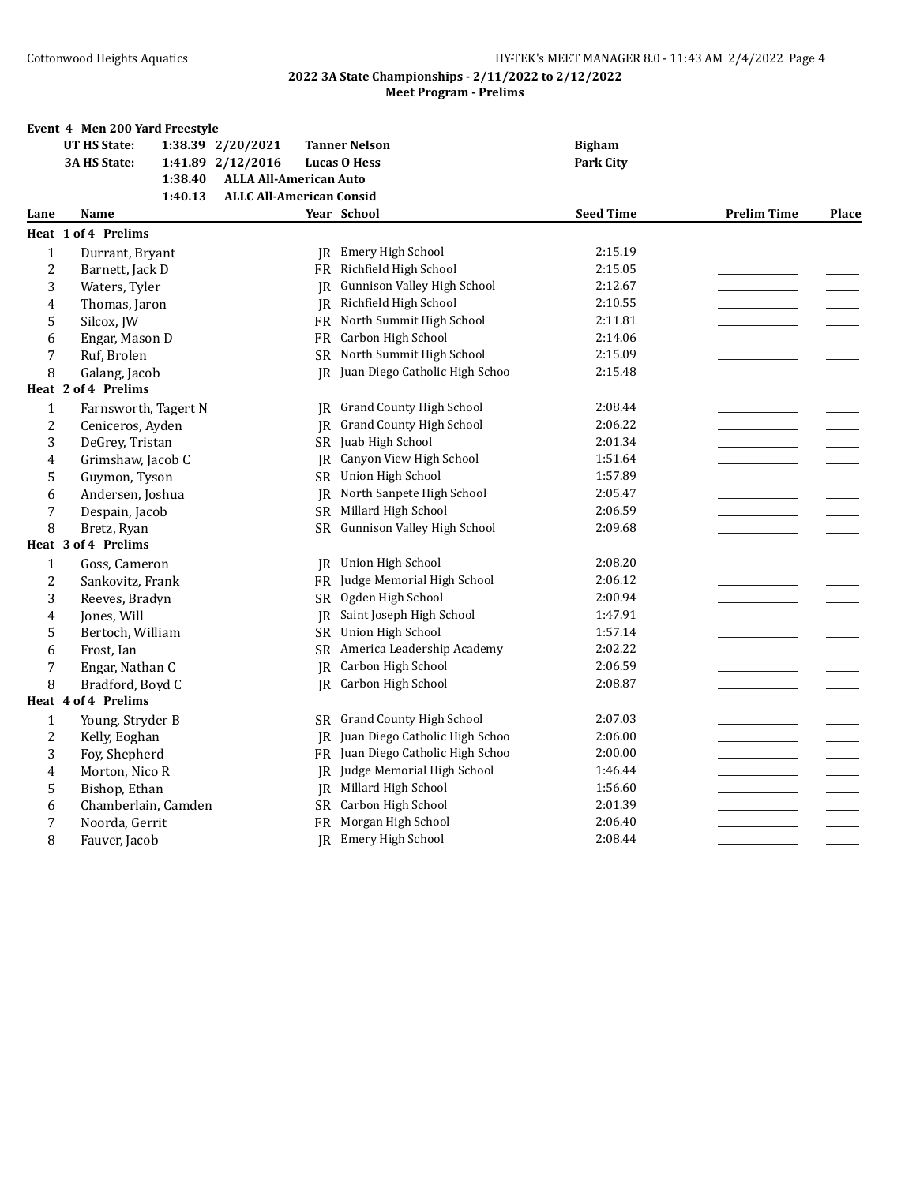|                | Event 4 Men 200 Yard Freestyle |                                 |                                 |                  |                    |              |
|----------------|--------------------------------|---------------------------------|---------------------------------|------------------|--------------------|--------------|
|                | <b>UT HS State:</b>            | 1:38.39 2/20/2021               | <b>Tanner Nelson</b>            | <b>Bigham</b>    |                    |              |
|                | 3A HS State:                   | 1:41.89 2/12/2016               | <b>Lucas O Hess</b>             | <b>Park City</b> |                    |              |
|                | 1:38.40                        | <b>ALLA All-American Auto</b>   |                                 |                  |                    |              |
|                | 1:40.13                        | <b>ALLC All-American Consid</b> |                                 |                  |                    |              |
| Lane           | Name                           |                                 | Year School                     | <b>Seed Time</b> | <b>Prelim Time</b> | <b>Place</b> |
|                | Heat 1 of 4 Prelims            |                                 |                                 |                  |                    |              |
| $\mathbf{1}$   | Durrant, Bryant                |                                 | JR Emery High School            | 2:15.19          |                    |              |
| 2              | Barnett, Jack D                |                                 | FR Richfield High School        | 2:15.05          |                    |              |
| 3              | Waters, Tyler                  | IR.                             | Gunnison Valley High School     | 2:12.67          |                    |              |
| $\overline{4}$ | Thomas, Jaron                  | IR                              | Richfield High School           | 2:10.55          |                    |              |
| 5              | Silcox, JW                     | FR                              | North Summit High School        | 2:11.81          |                    |              |
| 6              | Engar, Mason D                 |                                 | FR Carbon High School           | 2:14.06          |                    |              |
| 7              | Ruf, Brolen                    |                                 | SR North Summit High School     | 2:15.09          |                    |              |
| 8              | Galang, Jacob                  | IR                              | Juan Diego Catholic High Schoo  | 2:15.48          |                    |              |
|                | Heat 2 of 4 Prelims            |                                 |                                 |                  |                    |              |
| $\mathbf{1}$   | Farnsworth, Tagert N           | IR                              | <b>Grand County High School</b> | 2:08.44          |                    |              |
| $\overline{c}$ | Ceniceros, Ayden               | IR                              | <b>Grand County High School</b> | 2:06.22          |                    |              |
| 3              | DeGrey, Tristan                | SR                              | Juab High School                | 2:01.34          |                    |              |
| 4              | Grimshaw, Jacob C              | IR                              | Canyon View High School         | 1:51.64          |                    |              |
| 5              | Guymon, Tyson                  | SR                              | <b>Union High School</b>        | 1:57.89          |                    |              |
| 6              | Andersen, Joshua               |                                 | JR North Sanpete High School    | 2:05.47          |                    |              |
| 7              | Despain, Jacob                 | SR                              | Millard High School             | 2:06.59          |                    |              |
| 8              | Bretz, Ryan                    |                                 | SR Gunnison Valley High School  | 2:09.68          |                    |              |
|                | Heat 3 of 4 Prelims            |                                 |                                 |                  |                    |              |
| $\mathbf{1}$   | Goss, Cameron                  | IR                              | Union High School               | 2:08.20          |                    |              |
| 2              | Sankovitz, Frank               | FR                              | Judge Memorial High School      | 2:06.12          |                    |              |
| 3              | Reeves, Bradyn                 | <b>SR</b>                       | Ogden High School               | 2:00.94          |                    |              |
| 4              | Jones, Will                    | IR                              | Saint Joseph High School        | 1:47.91          |                    |              |
| 5              | Bertoch, William               |                                 | SR Union High School            | 1:57.14          |                    |              |
| 6              | Frost, Ian                     |                                 | SR America Leadership Academy   | 2:02.22          |                    |              |
| 7              | Engar, Nathan C                | <b>IR</b>                       | Carbon High School              | 2:06.59          |                    |              |
| 8              | Bradford, Boyd C               |                                 | JR Carbon High School           | 2:08.87          |                    |              |
|                | Heat 4 of 4 Prelims            |                                 |                                 |                  |                    |              |
| $\mathbf{1}$   | Young, Stryder B               |                                 | SR Grand County High School     | 2:07.03          |                    |              |
| $\overline{c}$ | Kelly, Eoghan                  | IR                              | Juan Diego Catholic High Schoo  | 2:06.00          |                    |              |
| 3              | Foy, Shepherd                  | FR                              | Juan Diego Catholic High Schoo  | 2:00.00          |                    |              |
| $\overline{4}$ | Morton, Nico R                 | IR                              | Judge Memorial High School      | 1:46.44          |                    |              |
| 5              | Bishop, Ethan                  |                                 | <b>IR</b> Millard High School   | 1:56.60          |                    |              |
| 6              | Chamberlain, Camden            |                                 | SR Carbon High School           | 2:01.39          |                    |              |
| 7              | Noorda, Gerrit                 | FR                              | Morgan High School              | 2:06.40          |                    |              |
| 8              | Fauver, Jacob                  |                                 | JR Emery High School            | 2:08.44          |                    |              |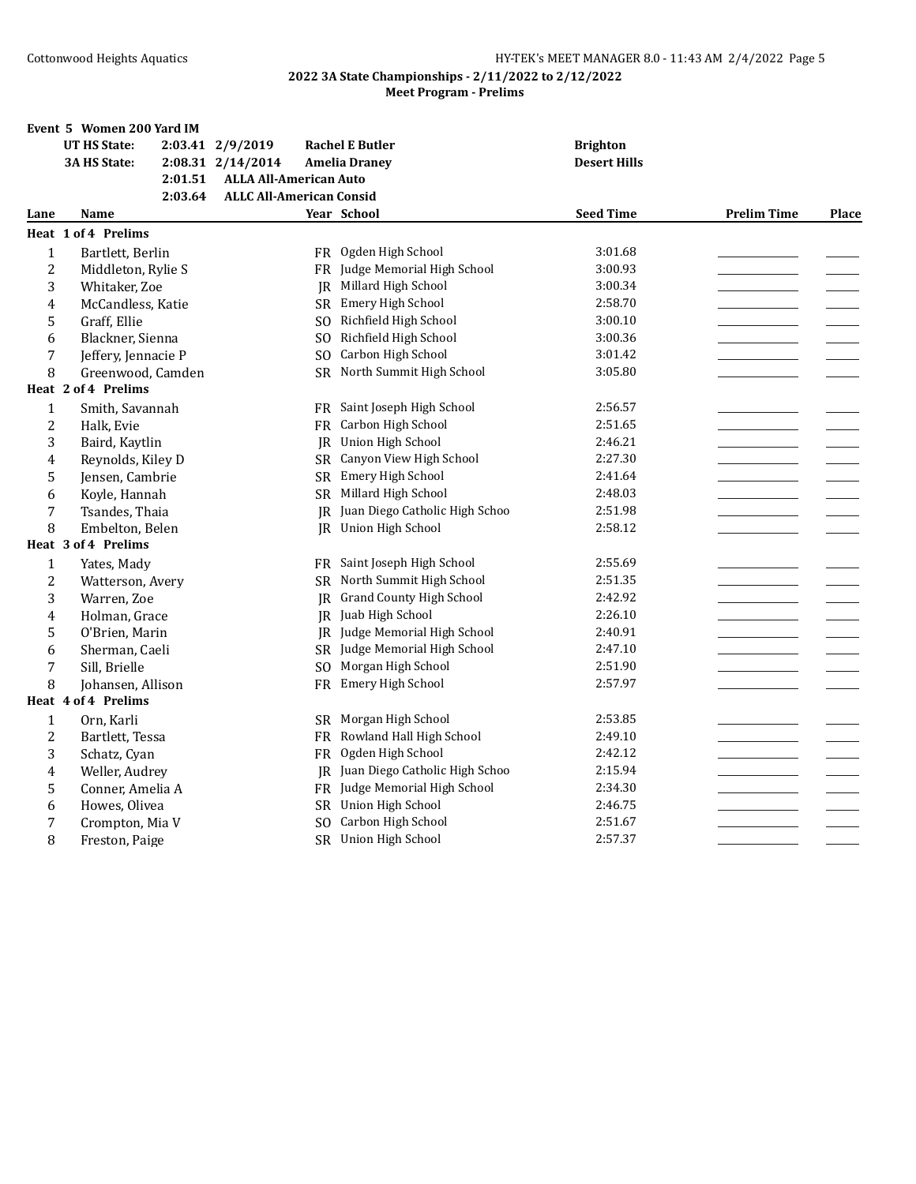|                  | Event 5 Women 200 Yard IM |                                 |                                |                     |                    |              |
|------------------|---------------------------|---------------------------------|--------------------------------|---------------------|--------------------|--------------|
|                  | <b>UT HS State:</b>       | 2:03.41 2/9/2019                | <b>Rachel E Butler</b>         | <b>Brighton</b>     |                    |              |
|                  | 3A HS State:              | 2:08.31 2/14/2014               | <b>Amelia Draney</b>           | <b>Desert Hills</b> |                    |              |
|                  | 2:01.51                   | <b>ALLA All-American Auto</b>   |                                |                     |                    |              |
|                  | 2:03.64                   | <b>ALLC All-American Consid</b> |                                |                     |                    |              |
| Lane             | <b>Name</b>               |                                 | Year School                    | <b>Seed Time</b>    | <b>Prelim Time</b> | <b>Place</b> |
|                  | Heat 1 of 4 Prelims       |                                 |                                |                     |                    |              |
| 1                | Bartlett, Berlin          |                                 | FR Ogden High School           | 3:01.68             |                    |              |
| $\overline{c}$   | Middleton, Rylie S        | FR                              | Judge Memorial High School     | 3:00.93             |                    |              |
| 3                | Whitaker, Zoe             |                                 | JR Millard High School         | 3:00.34             |                    |              |
| 4                | McCandless, Katie         |                                 | SR Emery High School           | 2:58.70             |                    |              |
| 5                | Graff, Ellie              |                                 | SO Richfield High School       | 3:00.10             |                    |              |
| 6                | Blackner, Sienna          | SO.                             | Richfield High School          | 3:00.36             |                    |              |
| 7                | Jeffery, Jennacie P       | SO.                             | Carbon High School             | 3:01.42             |                    |              |
| 8                | Greenwood, Camden         |                                 | SR North Summit High School    | 3:05.80             |                    |              |
|                  | Heat 2 of 4 Prelims       |                                 |                                |                     |                    |              |
| $\mathbf{1}$     | Smith, Savannah           |                                 | FR Saint Joseph High School    | 2:56.57             |                    |              |
| 2                | Halk, Evie                | FR                              | Carbon High School             | 2:51.65             |                    |              |
| 3                | Baird, Kaytlin            |                                 | JR Union High School           | 2:46.21             |                    |              |
| 4                | Reynolds, Kiley D         | SR                              | Canyon View High School        | 2:27.30             |                    |              |
| 5                | Jensen, Cambrie           | SR                              | Emery High School              | 2:41.64             |                    |              |
| 6                | Koyle, Hannah             |                                 | SR Millard High School         | 2:48.03             |                    |              |
| 7                | Tsandes, Thaia            | IR                              | Juan Diego Catholic High Schoo | 2:51.98             |                    |              |
| 8                | Embelton, Belen           | IR                              | Union High School              | 2:58.12             |                    |              |
|                  | Heat 3 of 4 Prelims       |                                 |                                |                     |                    |              |
| $\mathbf{1}$     | Yates, Mady               |                                 | FR Saint Joseph High School    | 2:55.69             |                    |              |
| $\boldsymbol{2}$ | Watterson, Avery          |                                 | SR North Summit High School    | 2:51.35             |                    |              |
| 3                | Warren, Zoe               |                                 | JR Grand County High School    | 2:42.92             |                    |              |
| 4                | Holman, Grace             | IR                              | Juab High School               | 2:26.10             |                    |              |
| 5                | O'Brien, Marin            |                                 | JR Judge Memorial High School  | 2:40.91             |                    |              |
| 6                | Sherman, Caeli            |                                 | SR Judge Memorial High School  | 2:47.10             |                    |              |
| 7                | Sill, Brielle             |                                 | SO Morgan High School          | 2:51.90             |                    |              |
| 8                | Johansen, Allison         |                                 | FR Emery High School           | 2:57.97             |                    |              |
|                  | Heat 4 of 4 Prelims       |                                 |                                |                     |                    |              |
| $\mathbf{1}$     | Orn, Karli                | SR.                             | Morgan High School             | 2:53.85             |                    |              |
| $\overline{c}$   | Bartlett, Tessa           |                                 | FR Rowland Hall High School    | 2:49.10             |                    |              |
| 3                | Schatz, Cyan              | FR                              | Ogden High School              | 2:42.12             |                    |              |
| 4                | Weller, Audrey            | IR                              | Juan Diego Catholic High Schoo | 2:15.94             |                    |              |
| 5                | Conner, Amelia A          | FR                              | Judge Memorial High School     | 2:34.30             |                    |              |
| 6                | Howes, Olivea             |                                 | SR Union High School           | 2:46.75             |                    |              |
| 7                | Crompton, Mia V           |                                 | SO Carbon High School          | 2:51.67             |                    |              |
| 8                | Freston, Paige            |                                 | SR Union High School           | 2:57.37             |                    |              |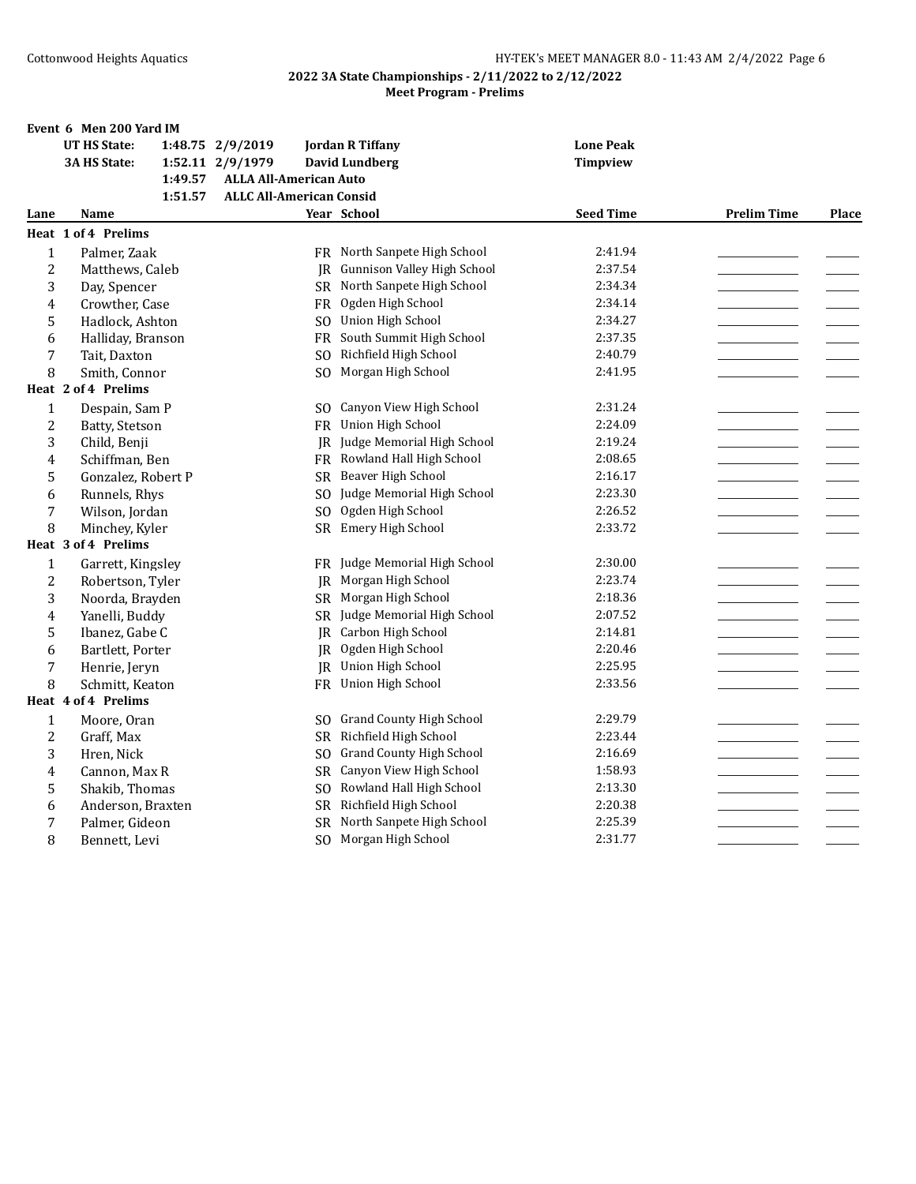|                | Event 6 Men 200 Yard IM    |                                 |                                 |                  |                    |       |
|----------------|----------------------------|---------------------------------|---------------------------------|------------------|--------------------|-------|
|                | <b>UT HS State:</b>        | 1:48.75 2/9/2019                | <b>Jordan R Tiffany</b>         | <b>Lone Peak</b> |                    |       |
|                | 3A HS State:               | 1:52.11 2/9/1979                | <b>David Lundberg</b>           | <b>Timpview</b>  |                    |       |
|                | 1:49.57                    | <b>ALLA All-American Auto</b>   |                                 |                  |                    |       |
|                | 1:51.57                    | <b>ALLC All-American Consid</b> |                                 |                  |                    |       |
| Lane           | Name                       |                                 | Year School                     | <b>Seed Time</b> | <b>Prelim Time</b> | Place |
|                | <b>Heat 1 of 4 Prelims</b> |                                 |                                 |                  |                    |       |
| $\mathbf{1}$   | Palmer, Zaak               |                                 | FR North Sanpete High School    | 2:41.94          |                    |       |
| $\overline{c}$ | Matthews, Caleb            | IR                              | Gunnison Valley High School     | 2:37.54          |                    |       |
| 3              | Day, Spencer               | SR.                             | North Sanpete High School       | 2:34.34          |                    |       |
| 4              | Crowther, Case             | <b>FR</b>                       | Ogden High School               | 2:34.14          |                    |       |
| 5              | Hadlock, Ashton            | SO.                             | Union High School               | 2:34.27          |                    |       |
| 6              | Halliday, Branson          | FR                              | South Summit High School        | 2:37.35          |                    |       |
| 7              | Tait, Daxton               | SO.                             | Richfield High School           | 2:40.79          |                    |       |
| 8              | Smith, Connor              | S <sub>O</sub>                  | Morgan High School              | 2:41.95          |                    |       |
|                | Heat 2 of 4 Prelims        |                                 |                                 |                  |                    |       |
| $\mathbf{1}$   | Despain, Sam P             | SO.                             | Canyon View High School         | 2:31.24          |                    |       |
| $\overline{2}$ | Batty, Stetson             | FR                              | <b>Union High School</b>        | 2:24.09          |                    |       |
| 3              | Child, Benji               | JR                              | Judge Memorial High School      | 2:19.24          |                    |       |
| 4              | Schiffman, Ben             | FR                              | Rowland Hall High School        | 2:08.65          |                    |       |
| 5              | Gonzalez, Robert P         | SR.                             | Beaver High School              | 2:16.17          |                    |       |
| 6              | Runnels, Rhys              | SO.                             | Judge Memorial High School      | 2:23.30          |                    |       |
| 7              | Wilson, Jordan             | SO.                             | Ogden High School               | 2:26.52          |                    |       |
| 8              | Minchey, Kyler             | <b>SR</b>                       | Emery High School               | 2:33.72          |                    |       |
|                | Heat 3 of 4 Prelims        |                                 |                                 |                  |                    |       |
| $\mathbf{1}$   | Garrett, Kingsley          | FR                              | Judge Memorial High School      | 2:30.00          |                    |       |
| $\overline{c}$ | Robertson, Tyler           | IR                              | Morgan High School              | 2:23.74          |                    |       |
| 3              | Noorda, Brayden            | SR.                             | Morgan High School              | 2:18.36          |                    |       |
| 4              | Yanelli, Buddy             | <b>SR</b>                       | Judge Memorial High School      | 2:07.52          |                    |       |
| 5              | Ibanez, Gabe C             | IR                              | Carbon High School              | 2:14.81          |                    |       |
| 6              | Bartlett, Porter           | IR                              | Ogden High School               | 2:20.46          |                    |       |
| 7              | Henrie, Jeryn              | IR.                             | Union High School               | 2:25.95          |                    |       |
| 8              | Schmitt, Keaton            | FR                              | Union High School               | 2:33.56          |                    |       |
|                | Heat 4 of 4 Prelims        |                                 |                                 |                  |                    |       |
| $\mathbf{1}$   | Moore, Oran                | SO.                             | <b>Grand County High School</b> | 2:29.79          |                    |       |
| 2              | Graff, Max                 | SR.                             | Richfield High School           | 2:23.44          |                    |       |
| 3              | Hren, Nick                 | SO.                             | <b>Grand County High School</b> | 2:16.69          |                    |       |
| 4              | Cannon, Max R              | <b>SR</b>                       | Canyon View High School         | 1:58.93          |                    |       |
| 5              | Shakib, Thomas             | SO.                             | Rowland Hall High School        | 2:13.30          |                    |       |
| 6              | Anderson, Braxten          | <b>SR</b>                       | Richfield High School           | 2:20.38          |                    |       |
| 7              | Palmer, Gideon             | <b>SR</b>                       | North Sanpete High School       | 2:25.39          |                    |       |
| 8              | Bennett, Levi              | S <sub>O</sub>                  | Morgan High School              | 2:31.77          |                    |       |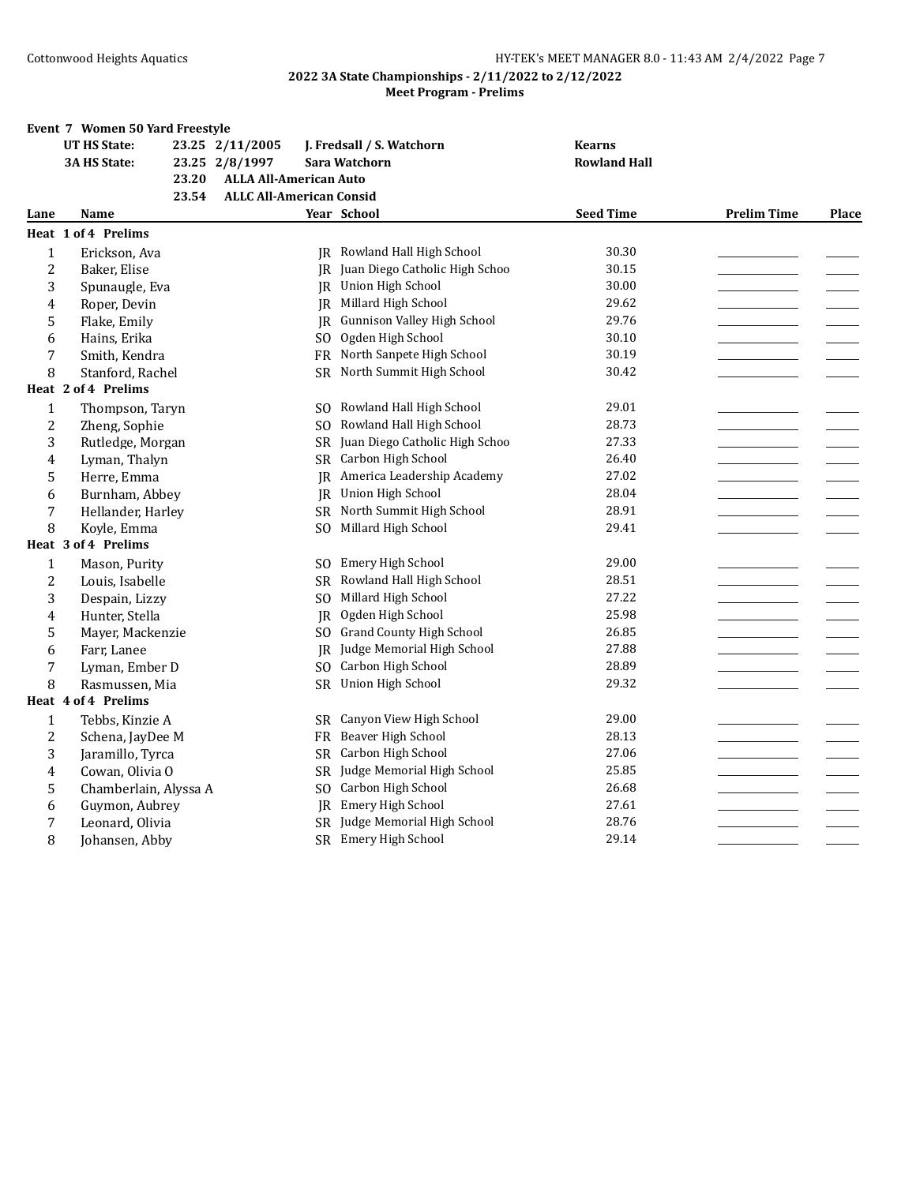|                | Event 7 Women 50 Yard Freestyle |                                 |                                   |                     |                    |              |
|----------------|---------------------------------|---------------------------------|-----------------------------------|---------------------|--------------------|--------------|
|                | <b>UT HS State:</b>             | 23.25 2/11/2005                 | J. Fredsall / S. Watchorn         | <b>Kearns</b>       |                    |              |
|                | 3A HS State:                    | 23.25 2/8/1997                  | Sara Watchorn                     | <b>Rowland Hall</b> |                    |              |
|                | 23.20                           | <b>ALLA All-American Auto</b>   |                                   |                     |                    |              |
|                | 23.54                           | <b>ALLC All-American Consid</b> |                                   |                     |                    |              |
| Lane           | Name                            |                                 | Year School                       | <b>Seed Time</b>    | <b>Prelim Time</b> | <b>Place</b> |
|                | Heat 1 of 4 Prelims             |                                 |                                   |                     |                    |              |
| $\mathbf{1}$   | Erickson, Ava                   |                                 | JR Rowland Hall High School       | 30.30               |                    |              |
| $\overline{2}$ | Baker, Elise                    | IR.                             | Juan Diego Catholic High Schoo    | 30.15               |                    |              |
| 3              | Spunaugle, Eva                  |                                 | JR Union High School              | 30.00               |                    |              |
| 4              | Roper, Devin                    | IR.                             | Millard High School               | 29.62               |                    |              |
| 5              | Flake, Emily                    | IR.                             | Gunnison Valley High School       | 29.76               |                    |              |
| 6              | Hains, Erika                    | SO.                             | Ogden High School                 | 30.10               |                    |              |
| 7              | Smith, Kendra                   |                                 | FR North Sanpete High School      | 30.19               |                    |              |
| 8              | Stanford, Rachel                | SR                              | North Summit High School          | 30.42               |                    |              |
|                | Heat 2 of 4 Prelims             |                                 |                                   |                     |                    |              |
| $\mathbf{1}$   | Thompson, Taryn                 | S <sub>O</sub>                  | Rowland Hall High School          | 29.01               |                    |              |
| $\overline{2}$ | Zheng, Sophie                   | S <sub>O</sub>                  | Rowland Hall High School          | 28.73               |                    |              |
| 3              | Rutledge, Morgan                |                                 | SR Juan Diego Catholic High Schoo | 27.33               |                    |              |
| 4              | Lyman, Thalyn                   | <b>SR</b>                       | Carbon High School                | 26.40               |                    |              |
| 5              | Herre, Emma                     | IR                              | America Leadership Academy        | 27.02               |                    |              |
| 6              | Burnham, Abbey                  | IR                              | Union High School                 | 28.04               |                    |              |
| 7              | Hellander, Harley               | SR.                             | North Summit High School          | 28.91               |                    |              |
| 8              | Koyle, Emma                     | SO.                             | Millard High School               | 29.41               |                    |              |
|                | Heat 3 of 4 Prelims             |                                 |                                   |                     |                    |              |
| $\mathbf 1$    | Mason, Purity                   | SO.                             | Emery High School                 | 29.00               |                    |              |
| $\overline{2}$ | Louis, Isabelle                 |                                 | SR Rowland Hall High School       | 28.51               |                    |              |
| 3              | Despain, Lizzy                  | SO.                             | Millard High School               | 27.22               |                    |              |
| 4              | Hunter, Stella                  | <b>IR</b>                       | Ogden High School                 | 25.98               |                    |              |
| 5              | Mayer, Mackenzie                | SO.                             | <b>Grand County High School</b>   | 26.85               |                    |              |
| 6              | Farr, Lanee                     | IR.                             | Judge Memorial High School        | 27.88               |                    |              |
| $\overline{7}$ | Lyman, Ember D                  | S <sub>O</sub>                  | Carbon High School                | 28.89               |                    |              |
| 8              | Rasmussen, Mia                  | SR.                             | <b>Union High School</b>          | 29.32               |                    |              |
|                | Heat 4 of 4 Prelims             |                                 |                                   |                     |                    |              |
| $\mathbf{1}$   | Tebbs, Kinzie A                 | SR.                             | Canyon View High School           | 29.00               |                    |              |
| $\overline{2}$ | Schena, JayDee M                |                                 | FR Beaver High School             | 28.13               |                    |              |
| 3              | Jaramillo, Tyrca                | SR                              | Carbon High School                | 27.06               |                    |              |
| 4              | Cowan, Olivia O                 | <b>SR</b>                       | Judge Memorial High School        | 25.85               |                    |              |
| 5              | Chamberlain, Alyssa A           | SO.                             | Carbon High School                | 26.68               |                    |              |
| 6              | Guymon, Aubrey                  | IR                              | Emery High School                 | 27.61               |                    |              |
| 7              | Leonard, Olivia                 |                                 | SR Judge Memorial High School     | 28.76               |                    |              |
| 8              | Johansen, Abby                  |                                 | SR Emery High School              | 29.14               |                    |              |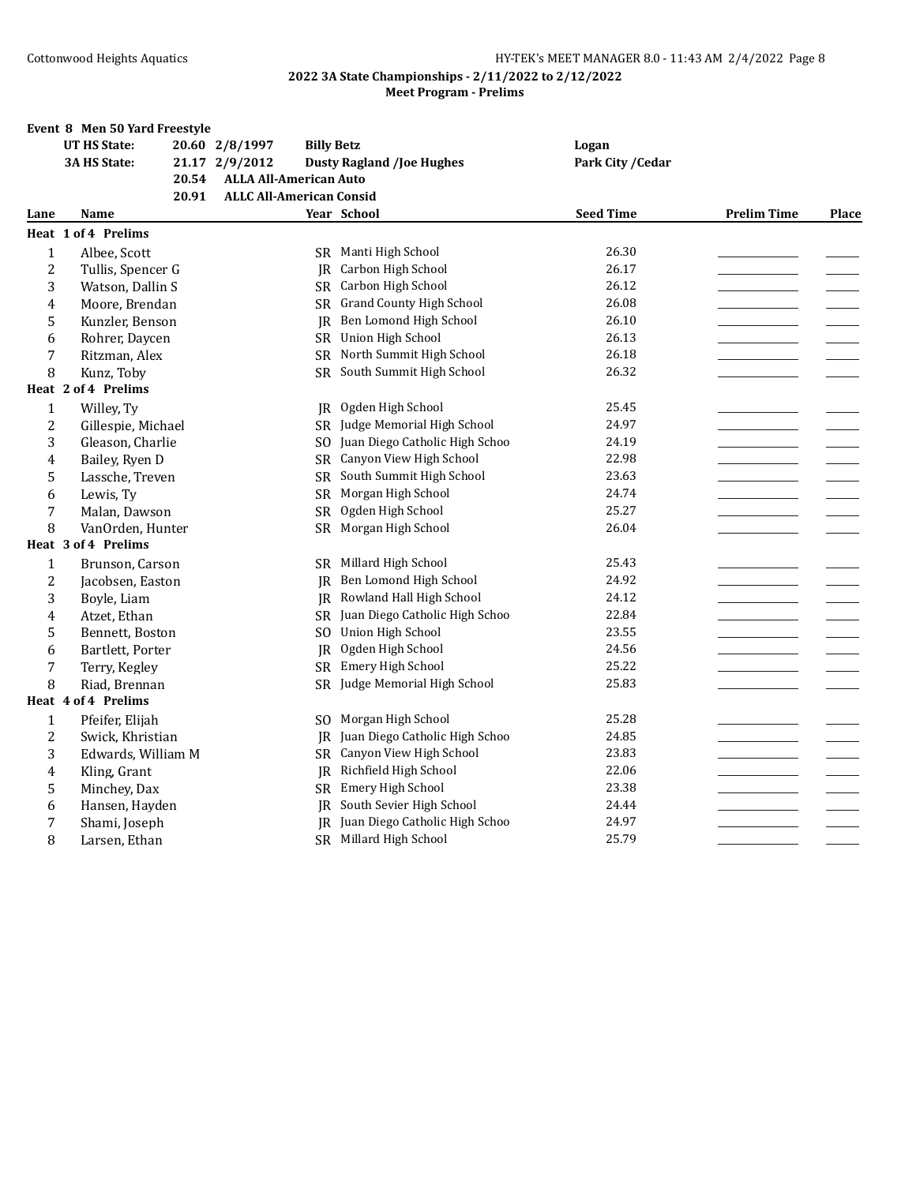|              | Event 8 Men 50 Yard Freestyle |       |                                 |                   |                                   |                   |                    |              |
|--------------|-------------------------------|-------|---------------------------------|-------------------|-----------------------------------|-------------------|--------------------|--------------|
|              | <b>UT HS State:</b>           |       | 20.60 2/8/1997                  | <b>Billy Betz</b> |                                   | Logan             |                    |              |
|              | 3A HS State:                  |       | 21.17 2/9/2012                  |                   | <b>Dusty Ragland /Joe Hughes</b>  | Park City / Cedar |                    |              |
|              |                               | 20.54 | <b>ALLA All-American Auto</b>   |                   |                                   |                   |                    |              |
|              |                               | 20.91 | <b>ALLC All-American Consid</b> |                   |                                   |                   |                    |              |
| Lane         | Name                          |       |                                 |                   | Year School                       | <b>Seed Time</b>  | <b>Prelim Time</b> | <b>Place</b> |
|              | Heat 1 of 4 Prelims           |       |                                 |                   |                                   |                   |                    |              |
| $\mathbf{1}$ | Albee, Scott                  |       |                                 |                   | SR Manti High School              | 26.30             |                    |              |
| 2            | Tullis, Spencer G             |       |                                 | IR                | Carbon High School                | 26.17             |                    |              |
| 3            | Watson, Dallin S              |       |                                 |                   | SR Carbon High School             | 26.12             |                    |              |
| 4            | Moore, Brendan                |       |                                 |                   | SR Grand County High School       | 26.08             |                    |              |
| 5            | Kunzler, Benson               |       |                                 | IR                | Ben Lomond High School            | 26.10             |                    |              |
| 6            | Rohrer, Daycen                |       |                                 |                   | SR Union High School              | 26.13             |                    |              |
| 7            | Ritzman, Alex                 |       |                                 |                   | SR North Summit High School       | 26.18             |                    |              |
| 8            | Kunz, Toby                    |       |                                 |                   | SR South Summit High School       | 26.32             |                    |              |
|              | Heat 2 of 4 Prelims           |       |                                 |                   |                                   |                   |                    |              |
| 1            | Willey, Ty                    |       |                                 | IR                | Ogden High School                 | 25.45             |                    |              |
| 2            | Gillespie, Michael            |       |                                 |                   | SR Judge Memorial High School     | 24.97             |                    |              |
| 3            | Gleason, Charlie              |       |                                 | SO.               | Juan Diego Catholic High Schoo    | 24.19             |                    |              |
| 4            | Bailey, Ryen D                |       |                                 | SR                | Canyon View High School           | 22.98             |                    |              |
| 5            | Lassche, Treven               |       |                                 |                   | SR South Summit High School       | 23.63             |                    |              |
| 6            | Lewis, Ty                     |       |                                 |                   | SR Morgan High School             | 24.74             |                    |              |
| 7            | Malan, Dawson                 |       |                                 | SR                | Ogden High School                 | 25.27             |                    |              |
| 8            | VanOrden, Hunter              |       |                                 |                   | SR Morgan High School             | 26.04             |                    |              |
|              | Heat 3 of 4 Prelims           |       |                                 |                   |                                   |                   |                    |              |
| 1            | Brunson, Carson               |       |                                 | SR                | Millard High School               | 25.43             |                    |              |
| 2            | Jacobsen, Easton              |       |                                 | IR                | Ben Lomond High School            | 24.92             |                    |              |
| 3            | Boyle, Liam                   |       |                                 | IR                | Rowland Hall High School          | 24.12             |                    |              |
| 4            | Atzet, Ethan                  |       |                                 | SR.               | Juan Diego Catholic High Schoo    | 22.84             |                    |              |
| 5            | Bennett, Boston               |       |                                 | SO.               | Union High School                 | 23.55             |                    |              |
| 6            | Bartlett, Porter              |       |                                 | IR                | Ogden High School                 | 24.56             |                    |              |
| 7            | Terry, Kegley                 |       |                                 |                   | SR Emery High School              | 25.22             |                    |              |
| 8            | Riad, Brennan                 |       |                                 |                   | SR Judge Memorial High School     | 25.83             |                    |              |
|              | Heat 4 of 4 Prelims           |       |                                 |                   |                                   |                   |                    |              |
| 1            | Pfeifer, Elijah               |       |                                 | SO.               | Morgan High School                | 25.28             |                    |              |
| 2            | Swick, Khristian              |       |                                 | IR                | Juan Diego Catholic High Schoo    | 24.85             |                    |              |
| 3            | Edwards, William M            |       |                                 | SR                | Canyon View High School           | 23.83             |                    |              |
| 4            | Kling, Grant                  |       |                                 | IR                | Richfield High School             | 22.06             |                    |              |
| 5            | Minchey, Dax                  |       |                                 |                   | SR Emery High School              | 23.38             |                    |              |
| 6            | Hansen, Hayden                |       |                                 | IR                | South Sevier High School          | 24.44             |                    |              |
| 7            | Shami, Joseph                 |       |                                 |                   | IR Juan Diego Catholic High Schoo | 24.97             |                    |              |
| 8            | Larsen, Ethan                 |       |                                 |                   | SR Millard High School            | 25.79             |                    |              |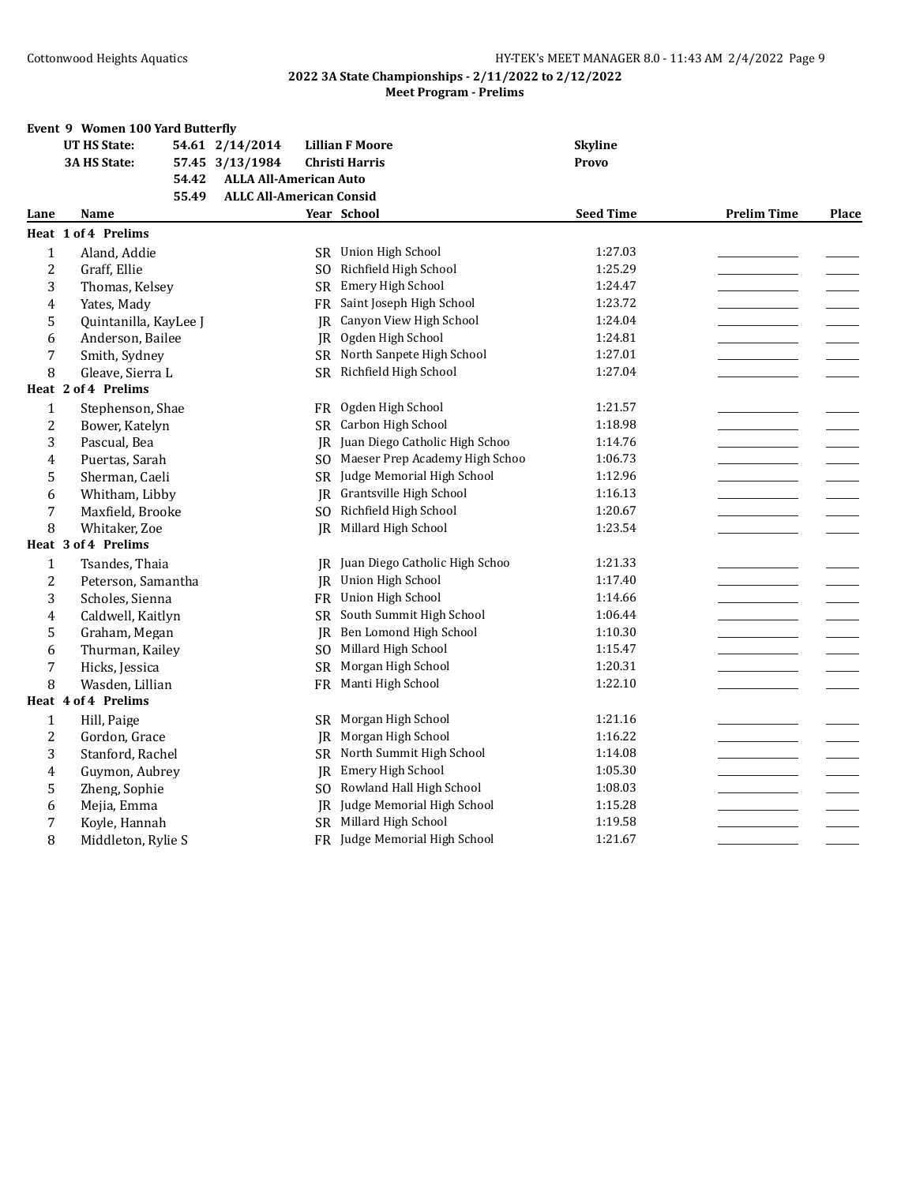|                | Event 9 Women 100 Yard Butterfly |       |                                 |           |                                   |                  |                    |       |
|----------------|----------------------------------|-------|---------------------------------|-----------|-----------------------------------|------------------|--------------------|-------|
|                | <b>UT HS State:</b>              |       | 54.61 2/14/2014                 |           | <b>Lillian F Moore</b>            | <b>Skyline</b>   |                    |       |
|                | 3A HS State:                     |       | 57.45 3/13/1984                 |           | <b>Christi Harris</b>             | <b>Provo</b>     |                    |       |
|                |                                  | 54.42 | <b>ALLA All-American Auto</b>   |           |                                   |                  |                    |       |
|                |                                  | 55.49 | <b>ALLC All-American Consid</b> |           |                                   |                  |                    |       |
| Lane           | Name                             |       |                                 |           | Year School                       | <b>Seed Time</b> | <b>Prelim Time</b> | Place |
|                | Heat 1 of 4 Prelims              |       |                                 |           |                                   |                  |                    |       |
| $\mathbf{1}$   | Aland, Addie                     |       |                                 |           | SR Union High School              | 1:27.03          |                    |       |
| $\overline{2}$ | Graff, Ellie                     |       |                                 | SO.       | Richfield High School             | 1:25.29          |                    |       |
| 3              | Thomas, Kelsey                   |       |                                 | SR.       | Emery High School                 | 1:24.47          |                    |       |
| 4              | Yates, Mady                      |       |                                 | FR        | Saint Joseph High School          | 1:23.72          |                    |       |
| 5              | Quintanilla, KayLee J            |       |                                 | IR.       | Canyon View High School           | 1:24.04          |                    |       |
| 6              | Anderson, Bailee                 |       |                                 | JR        | Ogden High School                 | 1:24.81          |                    |       |
| 7              | Smith, Sydney                    |       |                                 |           | SR North Sanpete High School      | 1:27.01          |                    |       |
| 8              | Gleave, Sierra L                 |       |                                 | SR        | Richfield High School             | 1:27.04          |                    |       |
|                | Heat 2 of 4 Prelims              |       |                                 |           |                                   |                  |                    |       |
| $\mathbf{1}$   | Stephenson, Shae                 |       |                                 | FR        | Ogden High School                 | 1:21.57          |                    |       |
| $\overline{2}$ | Bower, Katelyn                   |       |                                 | SR.       | Carbon High School                | 1:18.98          |                    |       |
| 3              | Pascual, Bea                     |       |                                 | IR        | Juan Diego Catholic High Schoo    | 1:14.76          |                    |       |
| 4              | Puertas, Sarah                   |       |                                 | SO.       | Maeser Prep Academy High Schoo    | 1:06.73          |                    |       |
| 5              | Sherman, Caeli                   |       |                                 | SR        | Judge Memorial High School        | 1:12.96          |                    |       |
| 6              | Whitham, Libby                   |       |                                 | JR        | Grantsville High School           | 1:16.13          |                    |       |
| 7              | Maxfield, Brooke                 |       |                                 | SO.       | Richfield High School             | 1:20.67          |                    |       |
| 8              | Whitaker, Zoe                    |       |                                 | IR        | Millard High School               | 1:23.54          |                    |       |
|                | Heat 3 of 4 Prelims              |       |                                 |           |                                   |                  |                    |       |
| 1              | Tsandes, Thaia                   |       |                                 |           | JR Juan Diego Catholic High Schoo | 1:21.33          |                    |       |
| $\overline{2}$ | Peterson, Samantha               |       |                                 | JR        | Union High School                 | 1:17.40          |                    |       |
| 3              | Scholes, Sienna                  |       |                                 | FR        | Union High School                 | 1:14.66          |                    |       |
| 4              | Caldwell, Kaitlyn                |       |                                 | <b>SR</b> | South Summit High School          | 1:06.44          |                    |       |
| 5              | Graham, Megan                    |       |                                 | JR        | Ben Lomond High School            | 1:10.30          |                    |       |
| 6              | Thurman, Kailey                  |       |                                 | SO.       | Millard High School               | 1:15.47          |                    |       |
| 7              | Hicks, Jessica                   |       |                                 | <b>SR</b> | Morgan High School                | 1:20.31          |                    |       |
| 8              | Wasden, Lillian                  |       |                                 |           | FR Manti High School              | 1:22.10          |                    |       |
|                | Heat 4 of 4 Prelims              |       |                                 |           |                                   |                  |                    |       |
| $\mathbf{1}$   | Hill, Paige                      |       |                                 | SR        | Morgan High School                | 1:21.16          |                    |       |
| $\overline{2}$ | Gordon, Grace                    |       |                                 | IR        | Morgan High School                | 1:16.22          |                    |       |
| 3              | Stanford, Rachel                 |       |                                 | SR        | North Summit High School          | 1:14.08          |                    |       |
| 4              | Guymon, Aubrey                   |       |                                 | IR        | Emery High School                 | 1:05.30          |                    |       |
| 5              | Zheng, Sophie                    |       |                                 | SO.       | Rowland Hall High School          | 1:08.03          |                    |       |
| 6              | Mejia, Emma                      |       |                                 | IR        | Judge Memorial High School        | 1:15.28          |                    |       |
| 7              | Koyle, Hannah                    |       |                                 | SR        | Millard High School               | 1:19.58          |                    |       |
| 8              | Middleton, Rylie S               |       |                                 | <b>FR</b> | Judge Memorial High School        | 1:21.67          |                    |       |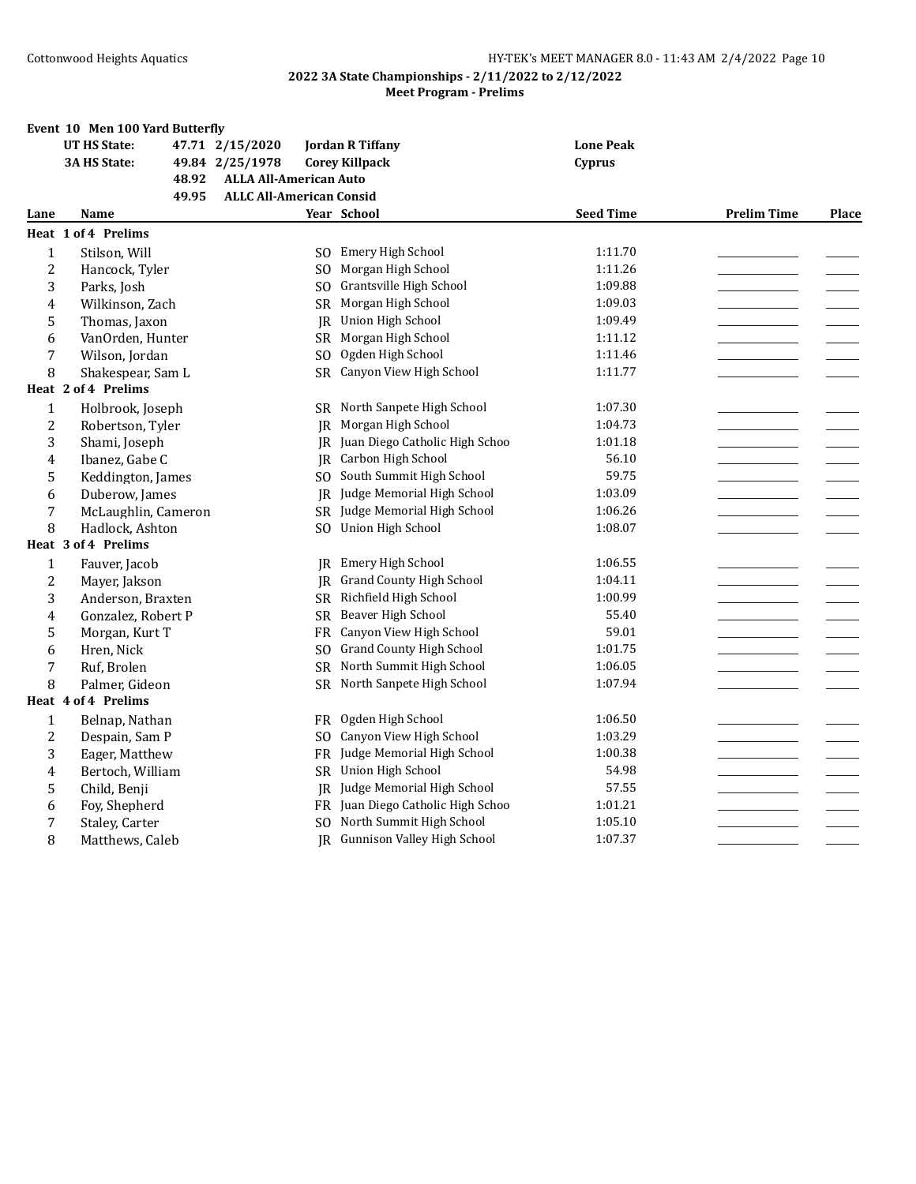|              | Event 10 Men 100 Yard Butterfly |                                          |                |                                   |                  |                    |              |
|--------------|---------------------------------|------------------------------------------|----------------|-----------------------------------|------------------|--------------------|--------------|
|              | <b>UT HS State:</b>             | 47.71 2/15/2020                          |                | <b>Jordan R Tiffany</b>           | <b>Lone Peak</b> |                    |              |
|              | 3A HS State:                    | 49.84 2/25/1978                          |                | <b>Corey Killpack</b>             | Cyprus           |                    |              |
|              |                                 | 48.92<br><b>ALLA All-American Auto</b>   |                |                                   |                  |                    |              |
|              |                                 | <b>ALLC All-American Consid</b><br>49.95 |                |                                   |                  |                    |              |
| Lane         | Name                            |                                          |                | Year School                       | <b>Seed Time</b> | <b>Prelim Time</b> | <b>Place</b> |
|              | <b>Heat 1 of 4 Prelims</b>      |                                          |                |                                   |                  |                    |              |
| $\mathbf{1}$ | Stilson, Will                   |                                          | SO.            | Emery High School                 | 1:11.70          |                    |              |
| 2            | Hancock, Tyler                  |                                          | SO.            | Morgan High School                | 1:11.26          |                    |              |
| 3            | Parks, Josh                     |                                          | SO.            | Grantsville High School           | 1:09.88          |                    |              |
| 4            | Wilkinson, Zach                 |                                          | <b>SR</b>      | Morgan High School                | 1:09.03          |                    |              |
| 5            | Thomas, Jaxon                   |                                          | IR             | Union High School                 | 1:09.49          |                    |              |
| 6            | VanOrden, Hunter                |                                          | SR             | Morgan High School                | 1:11.12          |                    |              |
| 7            | Wilson, Jordan                  |                                          | S <sub>O</sub> | Ogden High School                 | 1:11.46          |                    |              |
| 8            | Shakespear, Sam L               |                                          | SR.            | Canyon View High School           | 1:11.77          |                    |              |
|              | Heat 2 of 4 Prelims             |                                          |                |                                   |                  |                    |              |
| $\mathbf{1}$ | Holbrook, Joseph                |                                          |                | SR North Sanpete High School      | 1:07.30          |                    |              |
| 2            | Robertson, Tyler                |                                          | IR             | Morgan High School                | 1:04.73          |                    |              |
| 3            | Shami, Joseph                   |                                          | IR             | Juan Diego Catholic High Schoo    | 1:01.18          |                    |              |
| 4            | Ibanez, Gabe C                  |                                          | IR.            | Carbon High School                | 56.10            |                    |              |
| 5            | Keddington, James               |                                          | SO.            | South Summit High School          | 59.75            |                    |              |
| 6            | Duberow, James                  |                                          |                | JR Judge Memorial High School     | 1:03.09          |                    |              |
| 7            | McLaughlin, Cameron             |                                          | SR.            | Judge Memorial High School        | 1:06.26          |                    |              |
| 8            | Hadlock, Ashton                 |                                          | S <sub>O</sub> | <b>Union High School</b>          | 1:08.07          |                    |              |
|              | Heat 3 of 4 Prelims             |                                          |                |                                   |                  |                    |              |
| 1            | Fauver, Jacob                   |                                          |                | <b>IR</b> Emery High School       | 1:06.55          |                    |              |
| 2            | Mayer, Jakson                   |                                          | IR.            | <b>Grand County High School</b>   | 1:04.11          |                    |              |
| 3            | Anderson, Braxten               |                                          | <b>SR</b>      | Richfield High School             | 1:00.99          |                    |              |
| 4            | Gonzalez, Robert P              |                                          | <b>SR</b>      | Beaver High School                | 55.40            |                    |              |
| 5            | Morgan, Kurt T                  |                                          | <b>FR</b>      | Canyon View High School           | 59.01            |                    |              |
| 6            | Hren, Nick                      |                                          | SO.            | <b>Grand County High School</b>   | 1:01.75          |                    |              |
| 7            | Ruf, Brolen                     |                                          | <b>SR</b>      | North Summit High School          | 1:06.05          |                    |              |
| 8            | Palmer, Gideon                  |                                          |                | SR North Sanpete High School      | 1:07.94          |                    |              |
|              | Heat 4 of 4 Prelims             |                                          |                |                                   |                  |                    |              |
| $\mathbf{1}$ | Belnap, Nathan                  |                                          | <b>FR</b>      | Ogden High School                 | 1:06.50          |                    |              |
| 2            | Despain, Sam P                  |                                          | SO.            | Canyon View High School           | 1:03.29          |                    |              |
| 3            | Eager, Matthew                  |                                          | <b>FR</b>      | Judge Memorial High School        | 1:00.38          |                    |              |
| 4            | Bertoch, William                |                                          | <b>SR</b>      | Union High School                 | 54.98            |                    |              |
| 5            | Child, Benji                    |                                          | JR             | Judge Memorial High School        | 57.55            |                    |              |
| 6            | Foy, Shepherd                   |                                          |                | FR Juan Diego Catholic High Schoo | 1:01.21          |                    |              |
| 7            | Staley, Carter                  |                                          | SO.            | North Summit High School          | 1:05.10          |                    |              |
| 8            | Matthews, Caleb                 |                                          |                | JR Gunnison Valley High School    | 1:07.37          |                    |              |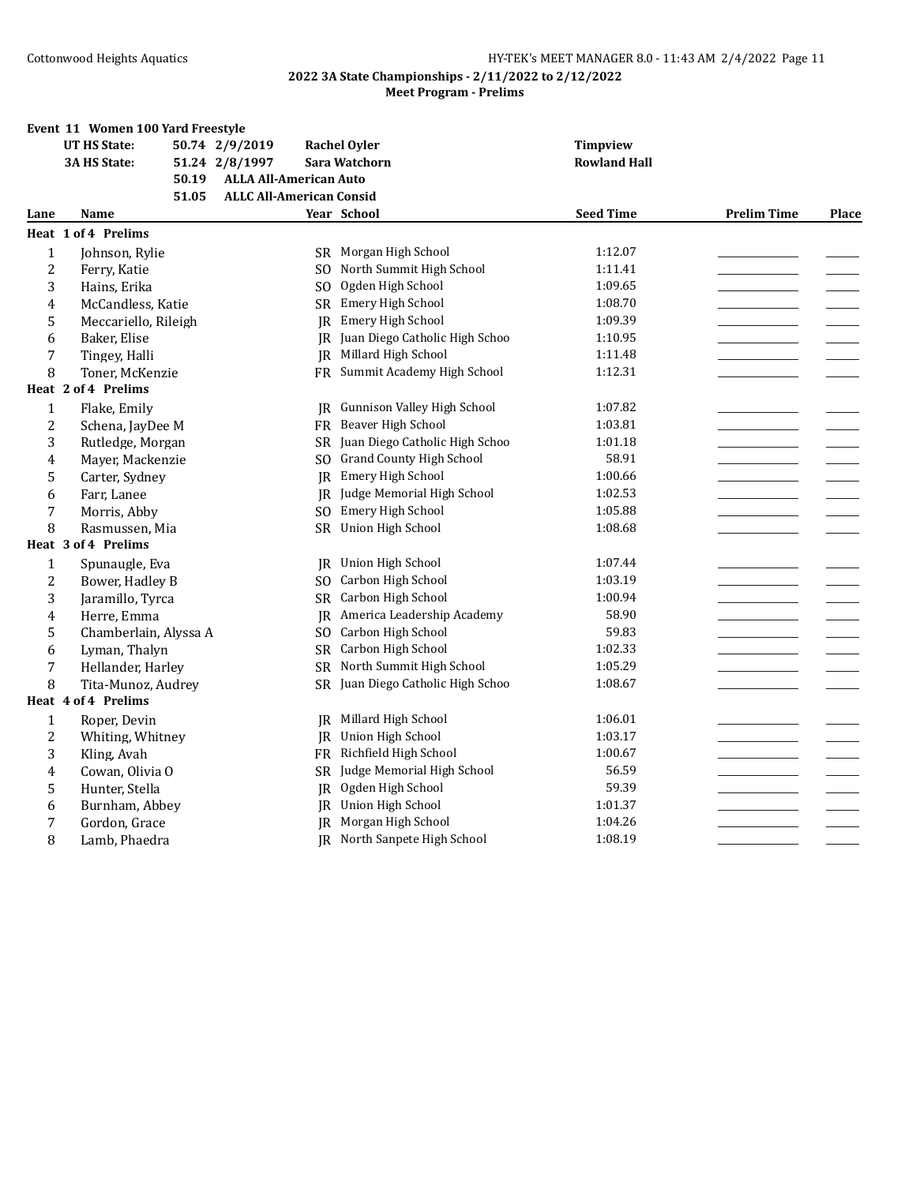|                | Event 11 Women 100 Yard Freestyle |                                 |                                   |                     |                    |       |
|----------------|-----------------------------------|---------------------------------|-----------------------------------|---------------------|--------------------|-------|
|                | <b>UT HS State:</b>               | 50.74 2/9/2019                  | <b>Rachel Oyler</b>               | <b>Timpview</b>     |                    |       |
|                | <b>3A HS State:</b>               | 51.24 2/8/1997                  | Sara Watchorn                     | <b>Rowland Hall</b> |                    |       |
|                | 50.19                             | <b>ALLA All-American Auto</b>   |                                   |                     |                    |       |
|                | 51.05                             | <b>ALLC All-American Consid</b> |                                   |                     |                    |       |
| Lane           | Name                              |                                 | Year School                       | <b>Seed Time</b>    | <b>Prelim Time</b> | Place |
|                | <b>Heat 1 of 4 Prelims</b>        |                                 |                                   |                     |                    |       |
| $\mathbf{1}$   | Johnson, Rylie                    |                                 | SR Morgan High School             | 1:12.07             |                    |       |
| $\overline{c}$ | Ferry, Katie                      | SO.                             | North Summit High School          | 1:11.41             |                    |       |
| 3              | Hains, Erika                      | SO.                             | Ogden High School                 | 1:09.65             |                    |       |
| 4              | McCandless, Katie                 | SR                              | Emery High School                 | 1:08.70             |                    |       |
| 5              | Meccariello, Rileigh              | <b>IR</b>                       | Emery High School                 | 1:09.39             |                    |       |
| 6              | Baker, Elise                      |                                 | JR Juan Diego Catholic High Schoo | 1:10.95             |                    |       |
| 7              | Tingey, Halli                     |                                 | <b>IR</b> Millard High School     | 1:11.48             |                    |       |
| 8              | Toner, McKenzie                   |                                 | FR Summit Academy High School     | 1:12.31             |                    |       |
|                | Heat 2 of 4 Prelims               |                                 |                                   |                     |                    |       |
| $\mathbf 1$    | Flake, Emily                      | IR                              | Gunnison Valley High School       | 1:07.82             |                    |       |
| $\overline{2}$ | Schena, JayDee M                  | FR                              | Beaver High School                | 1:03.81             |                    |       |
| 3              | Rutledge, Morgan                  |                                 | SR Juan Diego Catholic High Schoo | 1:01.18             |                    |       |
| 4              | Mayer, Mackenzie                  | SO.                             | <b>Grand County High School</b>   | 58.91               |                    |       |
| 5              | Carter, Sydney                    | <b>IR</b>                       | Emery High School                 | 1:00.66             |                    |       |
| 6              | Farr, Lanee                       | IR                              | Judge Memorial High School        | 1:02.53             |                    |       |
| 7              | Morris, Abby                      | S <sub>O</sub>                  | Emery High School                 | 1:05.88             |                    |       |
| 8              | Rasmussen, Mia                    | SR                              | Union High School                 | 1:08.68             |                    |       |
|                | Heat 3 of 4 Prelims               |                                 |                                   |                     |                    |       |
| $\mathbf 1$    | Spunaugle, Eva                    | IR                              | Union High School                 | 1:07.44             |                    |       |
| $\overline{2}$ | Bower, Hadley B                   | S <sub>O</sub>                  | Carbon High School                | 1:03.19             |                    |       |
| 3              | Jaramillo, Tyrca                  | SR.                             | Carbon High School                | 1:00.94             |                    |       |
| 4              | Herre, Emma                       | JR                              | America Leadership Academy        | 58.90               |                    |       |
| 5              | Chamberlain, Alyssa A             | SO.                             | Carbon High School                | 59.83               |                    |       |
| 6              | Lyman, Thalyn                     | <b>SR</b>                       | Carbon High School                | 1:02.33             |                    |       |
| $\overline{7}$ | Hellander, Harley                 | <b>SR</b>                       | North Summit High School          | 1:05.29             |                    |       |
| 8              | Tita-Munoz, Audrey                |                                 | SR Juan Diego Catholic High Schoo | 1:08.67             |                    |       |
|                | Heat 4 of 4 Prelims               |                                 |                                   |                     |                    |       |
| $\mathbf{1}$   | Roper, Devin                      | IR                              | Millard High School               | 1:06.01             |                    |       |
| $\overline{2}$ | Whiting, Whitney                  | IR                              | Union High School                 | 1:03.17             |                    |       |
| 3              | Kling, Avah                       | FR                              | Richfield High School             | 1:00.67             |                    |       |
| 4              | Cowan, Olivia O                   | SR                              | Judge Memorial High School        | 56.59               |                    |       |
| 5              | Hunter, Stella                    | IR.                             | Ogden High School                 | 59.39               |                    |       |
| 6              | Burnham, Abbey                    | IR                              | Union High School                 | 1:01.37             |                    |       |
| 7              | Gordon, Grace                     | IR                              | Morgan High School                | 1:04.26             |                    |       |
| 8              | Lamb, Phaedra                     |                                 | JR North Sanpete High School      | 1:08.19             |                    |       |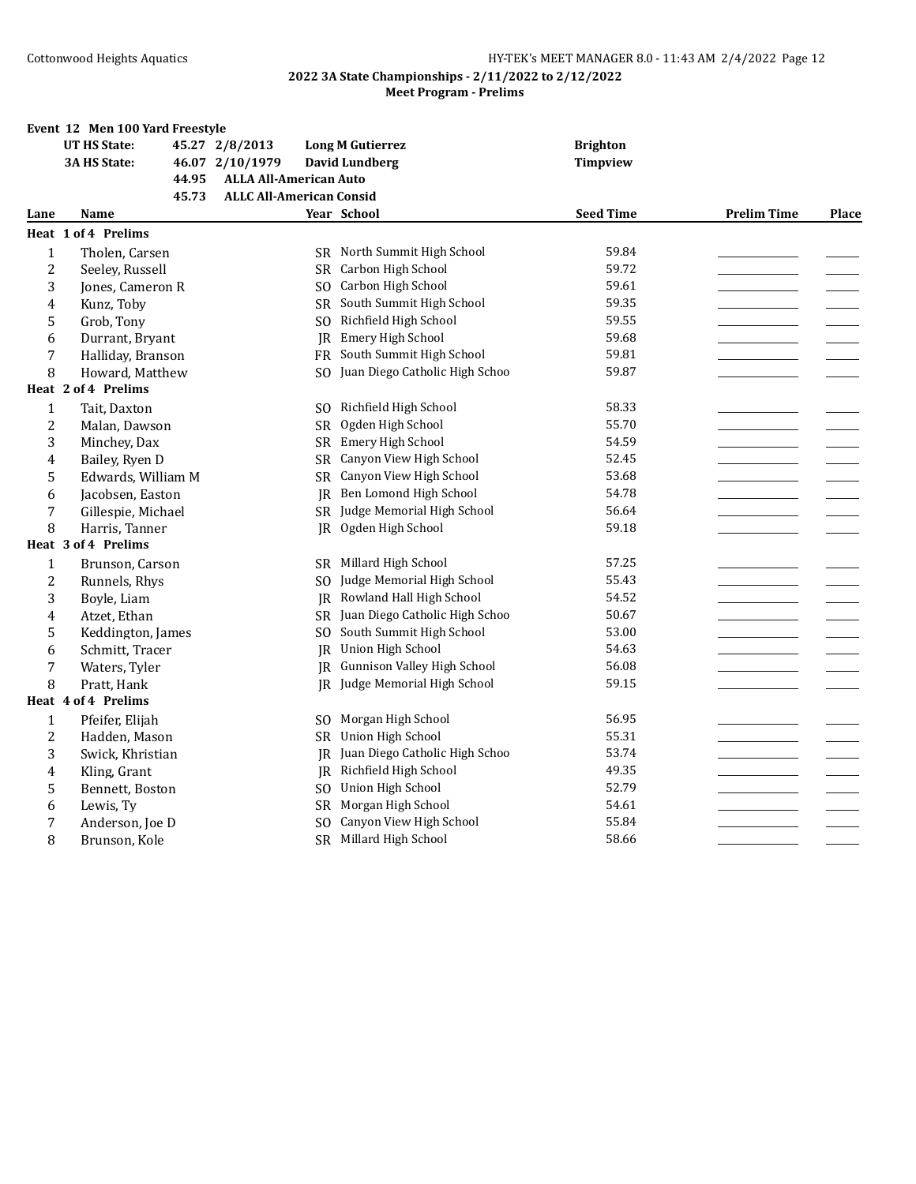|                | Event 12 Men 100 Yard Freestyle |                                 |                         |                                    |                  |                    |       |
|----------------|---------------------------------|---------------------------------|-------------------------|------------------------------------|------------------|--------------------|-------|
|                | <b>UT HS State:</b>             | 45.27 2/8/2013                  | <b>Long M Gutierrez</b> |                                    | <b>Brighton</b>  |                    |       |
|                | 3A HS State:                    | 46.07 2/10/1979                 | David Lundberg          |                                    | <b>Timpview</b>  |                    |       |
|                | 44.95                           | <b>ALLA All-American Auto</b>   |                         |                                    |                  |                    |       |
|                | 45.73                           | <b>ALLC All-American Consid</b> |                         |                                    |                  |                    |       |
| Lane           | Name                            |                                 | Year School             |                                    | <b>Seed Time</b> | <b>Prelim Time</b> | Place |
|                | Heat 1 of 4 Prelims             |                                 |                         |                                    |                  |                    |       |
| $\mathbf{1}$   | Tholen, Carsen                  |                                 |                         | SR North Summit High School        | 59.84            |                    |       |
| $\overline{2}$ | Seeley, Russell                 | SR.                             |                         | Carbon High School                 | 59.72            |                    |       |
| 3              | Jones, Cameron R                |                                 |                         | SO Carbon High School              | 59.61            |                    |       |
| 4              | Kunz, Toby                      |                                 |                         | SR South Summit High School        | 59.35            |                    |       |
| 5              | Grob, Tony                      | S <sub>O</sub>                  |                         | Richfield High School              | 59.55            |                    |       |
| 6              | Durrant, Bryant                 |                                 | JR                      | Emery High School                  | 59.68            |                    |       |
| 7              | Halliday, Branson               |                                 |                         | FR South Summit High School        | 59.81            |                    |       |
| 8              | Howard, Matthew                 | SO.                             |                         | Juan Diego Catholic High Schoo     | 59.87            |                    |       |
|                | Heat 2 of 4 Prelims             |                                 |                         |                                    |                  |                    |       |
| $\mathbf{1}$   | Tait, Daxton                    | SO.                             |                         | Richfield High School              | 58.33            |                    |       |
| $\overline{c}$ | Malan, Dawson                   | <b>SR</b>                       |                         | Ogden High School                  | 55.70            |                    |       |
| 3              | Minchey, Dax                    |                                 |                         | SR Emery High School               | 54.59            |                    |       |
| 4              | Bailey, Ryen D                  | <b>SR</b>                       |                         | Canyon View High School            | 52.45            |                    |       |
| 5              | Edwards, William M              | SR                              |                         | Canyon View High School            | 53.68            |                    |       |
| 6              | Jacobsen, Easton                |                                 | IR                      | Ben Lomond High School             | 54.78            |                    |       |
| 7              | Gillespie, Michael              |                                 |                         | SR Judge Memorial High School      | 56.64            |                    |       |
| 8              | Harris, Tanner                  | JR                              |                         | Ogden High School                  | 59.18            |                    |       |
|                | Heat 3 of 4 Prelims             |                                 |                         |                                    |                  |                    |       |
| $\mathbf{1}$   | Brunson, Carson                 | SR.                             |                         | Millard High School                | 57.25            |                    |       |
| $\overline{c}$ | Runnels, Rhys                   | SO.                             |                         | Judge Memorial High School         | 55.43            |                    |       |
| 3              | Boyle, Liam                     |                                 | IR                      | Rowland Hall High School           | 54.52            |                    |       |
| 4              | Atzet, Ethan                    |                                 |                         | SR Juan Diego Catholic High Schoo  | 50.67            |                    |       |
| 5              | Keddington, James               | SO.                             |                         | South Summit High School           | 53.00            |                    |       |
| 6              | Schmitt, Tracer                 |                                 |                         | JR Union High School               | 54.63            |                    |       |
| 7              | Waters, Tyler                   |                                 | IR.                     | <b>Gunnison Valley High School</b> | 56.08            |                    |       |
| 8              | Pratt, Hank                     |                                 |                         | JR Judge Memorial High School      | 59.15            |                    |       |
|                | Heat 4 of 4 Prelims             |                                 |                         |                                    |                  |                    |       |
| $\mathbf{1}$   | Pfeifer, Elijah                 | SO.                             |                         | Morgan High School                 | 56.95            |                    |       |
| $\overline{c}$ | Hadden, Mason                   |                                 |                         | SR Union High School               | 55.31            |                    |       |
| 3              | Swick, Khristian                |                                 | IR.                     | Juan Diego Catholic High Schoo     | 53.74            |                    |       |
| 4              | Kling, Grant                    | IR.                             |                         | Richfield High School              | 49.35            |                    |       |
| 5              | Bennett, Boston                 | S <sub>O</sub>                  |                         | Union High School                  | 52.79            |                    |       |
| 6              | Lewis, Ty                       | SR                              |                         | Morgan High School                 | 54.61            |                    |       |
| 7              | Anderson, Joe D                 | S <sub>O</sub>                  |                         | Canyon View High School            | 55.84            |                    |       |
| 8              | Brunson, Kole                   |                                 |                         | SR Millard High School             | 58.66            |                    |       |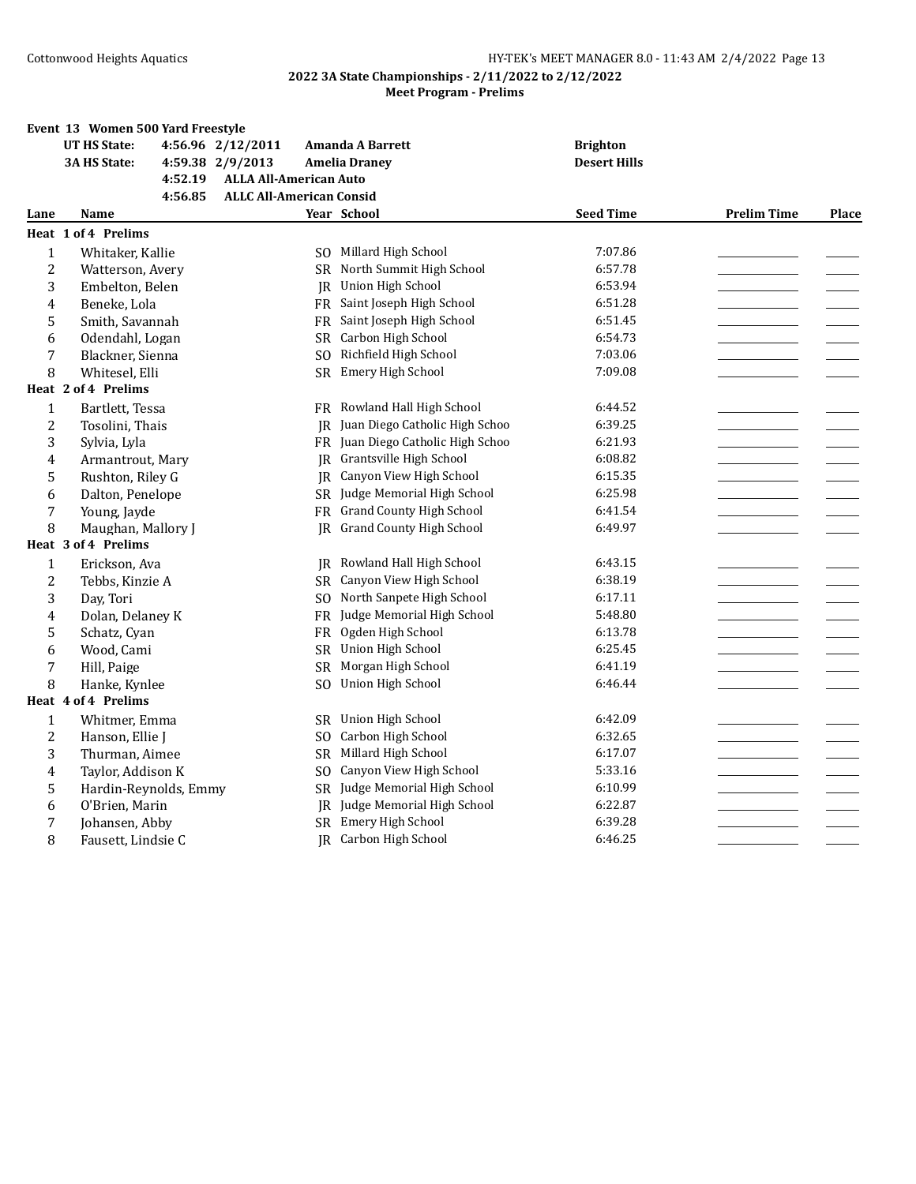|                | Event 13 Women 500 Yard Freestyle |                                 |                                 |                     |                    |       |
|----------------|-----------------------------------|---------------------------------|---------------------------------|---------------------|--------------------|-------|
|                | <b>UT HS State:</b>               | 4:56.96 2/12/2011               | <b>Amanda A Barrett</b>         | <b>Brighton</b>     |                    |       |
|                | <b>3A HS State:</b>               | 4:59.38 2/9/2013                | <b>Amelia Draney</b>            | <b>Desert Hills</b> |                    |       |
|                | 4:52.19                           | <b>ALLA All-American Auto</b>   |                                 |                     |                    |       |
|                | 4:56.85                           | <b>ALLC All-American Consid</b> |                                 |                     |                    |       |
| Lane           | Name                              |                                 | Year School                     | <b>Seed Time</b>    | <b>Prelim Time</b> | Place |
|                | Heat 1 of 4 Prelims               |                                 |                                 |                     |                    |       |
| $\mathbf{1}$   | Whitaker, Kallie                  | SO.                             | Millard High School             | 7:07.86             |                    |       |
| $\overline{2}$ | Watterson, Avery                  | SR.                             | North Summit High School        | 6:57.78             |                    |       |
| 3              | Embelton, Belen                   | IR                              | Union High School               | 6:53.94             |                    |       |
| 4              | Beneke, Lola                      | FR                              | Saint Joseph High School        | 6:51.28             |                    |       |
| 5              | Smith, Savannah                   | FR                              | Saint Joseph High School        | 6:51.45             |                    |       |
| 6              | Odendahl, Logan                   |                                 | SR Carbon High School           | 6:54.73             |                    |       |
| 7              | Blackner, Sienna                  | SO.                             | Richfield High School           | 7:03.06             |                    |       |
| 8              | Whitesel, Elli                    | <b>SR</b>                       | Emery High School               | 7:09.08             |                    |       |
|                | Heat 2 of 4 Prelims               |                                 |                                 |                     |                    |       |
| $\mathbf{1}$   | Bartlett, Tessa                   | FR                              | Rowland Hall High School        | 6:44.52             |                    |       |
| $\overline{2}$ | Tosolini, Thais                   | IR                              | Juan Diego Catholic High Schoo  | 6:39.25             |                    |       |
| 3              | Sylvia, Lyla                      | FR                              | Juan Diego Catholic High Schoo  | 6:21.93             |                    |       |
| 4              | Armantrout, Mary                  | IR.                             | Grantsville High School         | 6:08.82             |                    |       |
| 5              | Rushton, Riley G                  | IR                              | Canyon View High School         | 6:15.35             |                    |       |
| 6              | Dalton, Penelope                  |                                 | SR Judge Memorial High School   | 6:25.98             |                    |       |
| 7              | Young, Jayde                      | FR                              | <b>Grand County High School</b> | 6:41.54             |                    |       |
| 8              | Maughan, Mallory J                | IR.                             | <b>Grand County High School</b> | 6:49.97             |                    |       |
|                | Heat 3 of 4 Prelims               |                                 |                                 |                     |                    |       |
| $\mathbf{1}$   | Erickson, Ava                     | IR                              | Rowland Hall High School        | 6:43.15             |                    |       |
| $\overline{2}$ | Tebbs, Kinzie A                   |                                 | SR Canyon View High School      | 6:38.19             |                    |       |
| 3              | Day, Tori                         | SO.                             | North Sanpete High School       | 6:17.11             |                    |       |
| 4              | Dolan, Delaney K                  | <b>FR</b>                       | Judge Memorial High School      | 5:48.80             |                    |       |
| 5              | Schatz, Cyan                      | FR                              | Ogden High School               | 6:13.78             |                    |       |
| 6              | Wood, Cami                        |                                 | SR Union High School            | 6:25.45             |                    |       |
| 7              | Hill, Paige                       | <b>SR</b>                       | Morgan High School              | 6:41.19             |                    |       |
| 8              | Hanke, Kynlee                     | S <sub>O</sub>                  | Union High School               | 6:46.44             |                    |       |
|                | Heat 4 of 4 Prelims               |                                 |                                 |                     |                    |       |
| $\mathbf 1$    | Whitmer, Emma                     | <b>SR</b>                       | Union High School               | 6:42.09             |                    |       |
| $\overline{c}$ | Hanson, Ellie J                   | SO.                             | Carbon High School              | 6:32.65             |                    |       |
| 3              | Thurman, Aimee                    | SR                              | Millard High School             | 6:17.07             |                    |       |
| 4              | Taylor, Addison K                 | S <sub>O</sub>                  | Canyon View High School         | 5:33.16             |                    |       |
| 5              | Hardin-Reynolds, Emmy             |                                 | SR Judge Memorial High School   | 6:10.99             |                    |       |
| 6              | O'Brien, Marin                    | IR                              | Judge Memorial High School      | 6:22.87             |                    |       |
| $\overline{7}$ | Johansen, Abby                    |                                 | SR Emery High School            | 6:39.28             |                    |       |
| 8              | Fausett, Lindsie C                |                                 | <b>IR</b> Carbon High School    | 6:46.25             |                    |       |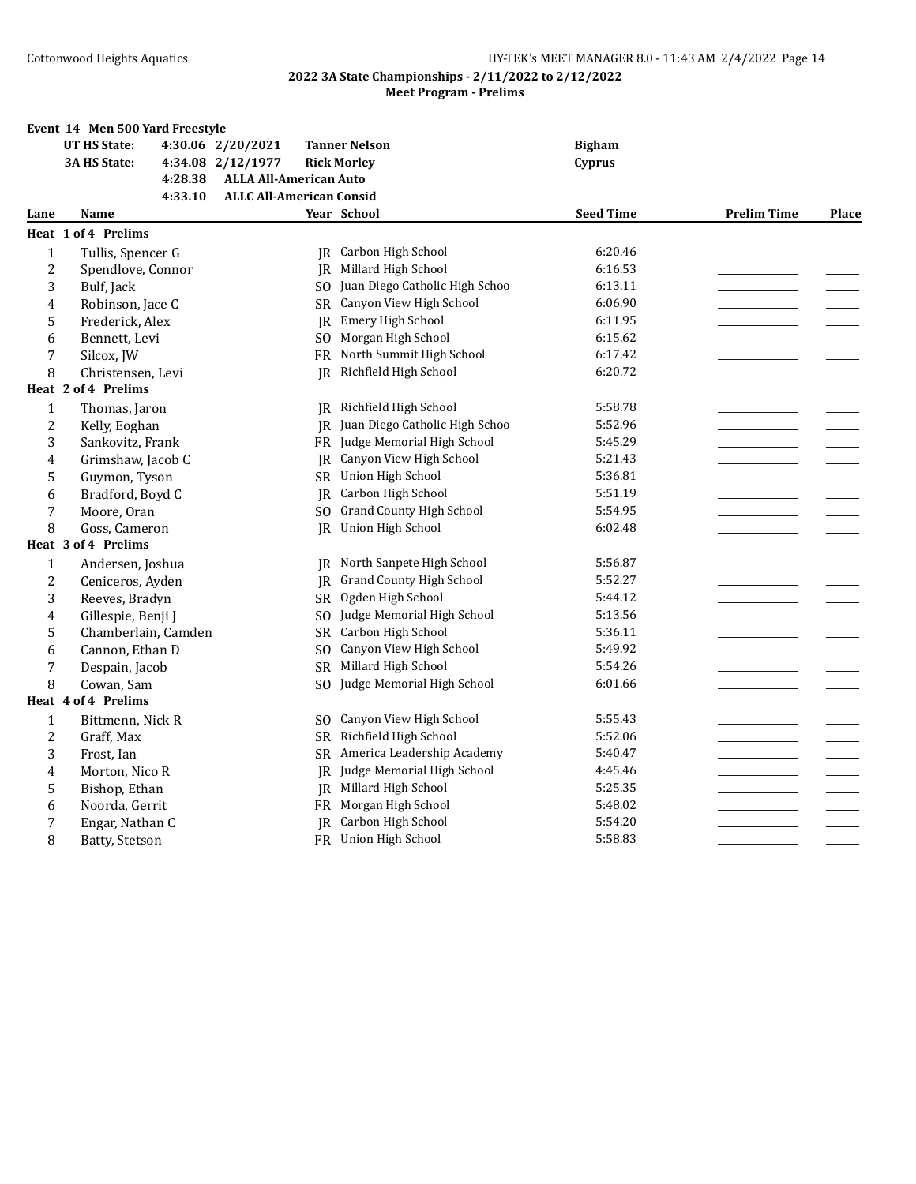|                | Event 14 Men 500 Yard Freestyle |                                 |                                 |                  |                    |              |
|----------------|---------------------------------|---------------------------------|---------------------------------|------------------|--------------------|--------------|
|                | <b>UT HS State:</b>             | 4:30.06 2/20/2021               | <b>Tanner Nelson</b>            | <b>Bigham</b>    |                    |              |
|                | <b>3A HS State:</b>             | 4:34.08 2/12/1977               | <b>Rick Morley</b>              | Cyprus           |                    |              |
|                | 4:28.38                         | <b>ALLA All-American Auto</b>   |                                 |                  |                    |              |
|                | 4:33.10                         | <b>ALLC All-American Consid</b> |                                 |                  |                    |              |
| Lane           | Name                            |                                 | Year School                     | <b>Seed Time</b> | <b>Prelim Time</b> | <b>Place</b> |
|                | Heat 1 of 4 Prelims             |                                 |                                 |                  |                    |              |
| 1              | Tullis, Spencer G               |                                 | JR Carbon High School           | 6:20.46          |                    |              |
| $\overline{c}$ | Spendlove, Connor               | IR                              | Millard High School             | 6:16.53          |                    |              |
| 3              | Bulf, Jack                      | SO.                             | Juan Diego Catholic High Schoo  | 6:13.11          |                    |              |
| 4              | Robinson, Jace C                | SR.                             | Canyon View High School         | 6:06.90          |                    |              |
| 5              | Frederick, Alex                 | IR.                             | Emery High School               | 6:11.95          |                    |              |
| 6              | Bennett, Levi                   | SO.                             | Morgan High School              | 6:15.62          |                    |              |
| 7              | Silcox, JW                      |                                 | FR North Summit High School     | 6:17.42          |                    |              |
| 8              | Christensen, Levi               | IR                              | Richfield High School           | 6:20.72          |                    |              |
|                | Heat 2 of 4 Prelims             |                                 |                                 |                  |                    |              |
| $\mathbf{1}$   | Thomas, Jaron                   |                                 | JR Richfield High School        | 5:58.78          |                    |              |
| 2              | Kelly, Eoghan                   | IR                              | Juan Diego Catholic High Schoo  | 5:52.96          |                    |              |
| 3              | Sankovitz, Frank                |                                 | FR Judge Memorial High School   | 5:45.29          |                    |              |
| 4              | Grimshaw, Jacob C               | IR                              | Canyon View High School         | 5:21.43          |                    |              |
| 5              | Guymon, Tyson                   | <b>SR</b>                       | Union High School               | 5:36.81          |                    |              |
| 6              | Bradford, Boyd C                | IR                              | Carbon High School              | 5:51.19          |                    |              |
| 7              | Moore, Oran                     | SO.                             | <b>Grand County High School</b> | 5:54.95          |                    |              |
| 8              | Goss, Cameron                   | IR                              | Union High School               | 6:02.48          |                    |              |
|                | Heat 3 of 4 Prelims             |                                 |                                 |                  |                    |              |
| 1              | Andersen, Joshua                | IR                              | North Sanpete High School       | 5:56.87          |                    |              |
| $\overline{c}$ | Ceniceros, Ayden                | IR                              | <b>Grand County High School</b> | 5:52.27          |                    |              |
| 3              | Reeves, Bradyn                  | SR.                             | Ogden High School               | 5:44.12          |                    |              |
| 4              | Gillespie, Benji J              | S <sub>O</sub>                  | Judge Memorial High School      | 5:13.56          |                    |              |
| 5              | Chamberlain, Camden             | SR.                             | Carbon High School              | 5:36.11          |                    |              |
| 6              | Cannon, Ethan D                 | S <sub>0</sub>                  | Canyon View High School         | 5:49.92          |                    |              |
| 7              | Despain, Jacob                  | SR.                             | Millard High School             | 5:54.26          |                    |              |
| 8              | Cowan, Sam                      | SO.                             | Judge Memorial High School      | 6:01.66          |                    |              |
|                | Heat 4 of 4 Prelims             |                                 |                                 |                  |                    |              |
| $\mathbf{1}$   | Bittmenn, Nick R                | SO.                             | Canyon View High School         | 5:55.43          |                    |              |
| 2              | Graff, Max                      |                                 | SR Richfield High School        | 5:52.06          |                    |              |
| 3              | Frost, Ian                      | SR.                             | America Leadership Academy      | 5:40.47          |                    |              |
| 4              | Morton, Nico R                  | IR.                             | Judge Memorial High School      | 4:45.46          |                    |              |
| 5              | Bishop, Ethan                   | IR                              | Millard High School             | 5:25.35          |                    |              |
| 6              | Noorda, Gerrit                  |                                 | FR Morgan High School           | 5:48.02          |                    |              |
| 7              | Engar, Nathan C                 |                                 | <b>IR</b> Carbon High School    | 5:54.20          |                    |              |
| 8              | Batty, Stetson                  |                                 | FR Union High School            | 5:58.83          |                    |              |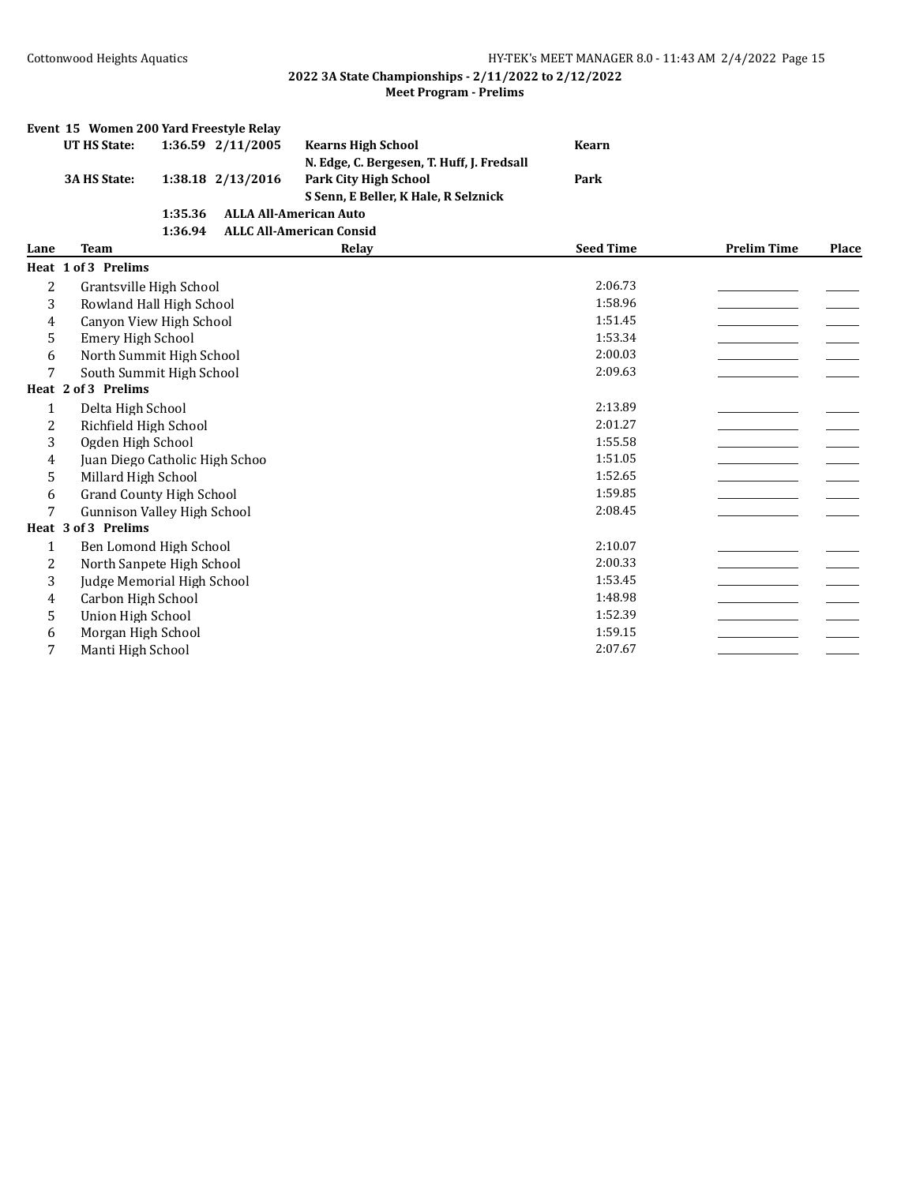|      | Event 15 Women 200 Yard Freestyle Relay |         |                   |                                            |                  |                    |       |
|------|-----------------------------------------|---------|-------------------|--------------------------------------------|------------------|--------------------|-------|
|      | <b>UT HS State:</b>                     |         | 1:36.59 2/11/2005 | <b>Kearns High School</b>                  | <b>Kearn</b>     |                    |       |
|      |                                         |         |                   | N. Edge, C. Bergesen, T. Huff, J. Fredsall |                  |                    |       |
|      | <b>3A HS State:</b>                     |         | 1:38.18 2/13/2016 | <b>Park City High School</b>               | Park             |                    |       |
|      |                                         |         |                   | S Senn, E Beller, K Hale, R Selznick       |                  |                    |       |
|      |                                         | 1:35.36 |                   | <b>ALLA All-American Auto</b>              |                  |                    |       |
|      |                                         | 1:36.94 |                   | <b>ALLC All-American Consid</b>            |                  |                    |       |
| Lane | <b>Team</b>                             |         |                   | Relay                                      | <b>Seed Time</b> | <b>Prelim Time</b> | Place |
|      | Heat 1 of 3 Prelims                     |         |                   |                                            |                  |                    |       |
| 2    | Grantsville High School                 |         |                   |                                            | 2:06.73          |                    |       |
| 3    | Rowland Hall High School                |         |                   |                                            | 1:58.96          |                    |       |
| 4    | Canyon View High School                 |         |                   |                                            | 1:51.45          |                    |       |
| 5    | Emery High School                       |         |                   |                                            | 1:53.34          |                    |       |
| 6    | North Summit High School                |         |                   |                                            | 2:00.03          |                    |       |
| 7    | South Summit High School                |         |                   |                                            | 2:09.63          |                    |       |
|      | Heat 2 of 3 Prelims                     |         |                   |                                            |                  |                    |       |
| 1    | Delta High School                       |         |                   |                                            | 2:13.89          |                    |       |
| 2    | Richfield High School                   |         |                   |                                            | 2:01.27          |                    |       |
| 3    | Ogden High School                       |         |                   |                                            | 1:55.58          |                    |       |
| 4    | Juan Diego Catholic High Schoo          |         |                   |                                            | 1:51.05          |                    |       |
| 5    | Millard High School                     |         |                   |                                            | 1:52.65          |                    |       |
| 6    | <b>Grand County High School</b>         |         |                   |                                            | 1:59.85          |                    |       |
| 7    | <b>Gunnison Valley High School</b>      |         |                   |                                            | 2:08.45          |                    |       |
|      | Heat 3 of 3 Prelims                     |         |                   |                                            |                  |                    |       |
| 1    | Ben Lomond High School                  |         |                   |                                            | 2:10.07          |                    |       |
| 2    | North Sanpete High School               |         |                   |                                            | 2:00.33          |                    |       |
| 3    | Judge Memorial High School              |         |                   |                                            | 1:53.45          |                    |       |
| 4    | Carbon High School                      |         |                   |                                            | 1:48.98          |                    |       |
| 5    | Union High School                       |         |                   |                                            | 1:52.39          |                    |       |
| 6    | Morgan High School                      |         |                   |                                            | 1:59.15          |                    |       |
| 7    | Manti High School                       |         |                   |                                            | 2:07.67          |                    |       |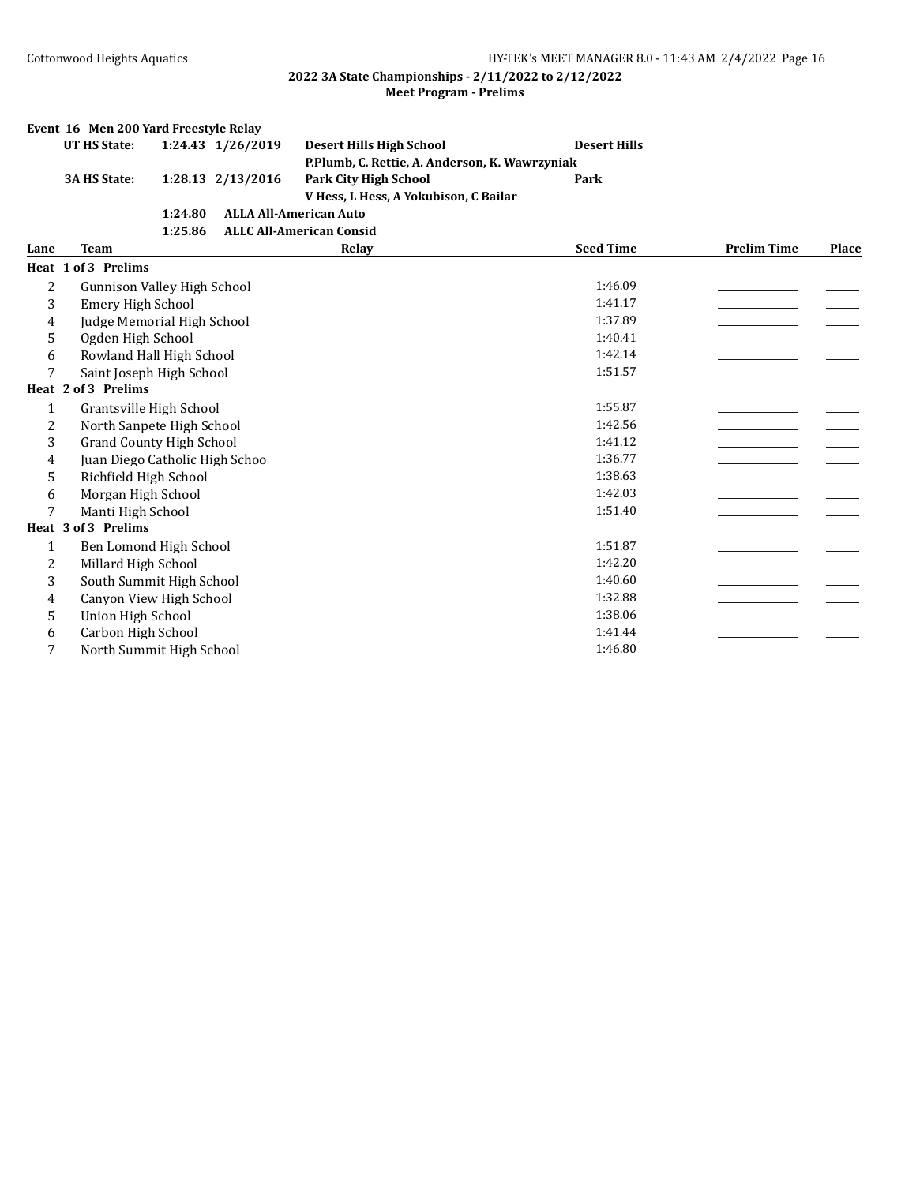|                | Event 16 Men 200 Yard Freestyle Relay |         |                   |                                                                                |                     |                    |              |
|----------------|---------------------------------------|---------|-------------------|--------------------------------------------------------------------------------|---------------------|--------------------|--------------|
|                | <b>UT HS State:</b>                   |         | 1:24.43 1/26/2019 | <b>Desert Hills High School</b>                                                | <b>Desert Hills</b> |                    |              |
|                | 3A HS State:                          |         | 1:28.13 2/13/2016 | P.Plumb, C. Rettie, A. Anderson, K. Wawrzyniak<br><b>Park City High School</b> | Park                |                    |              |
|                |                                       |         |                   |                                                                                |                     |                    |              |
|                |                                       |         |                   | V Hess, L Hess, A Yokubison, C Bailar                                          |                     |                    |              |
|                |                                       | 1:24.80 |                   | <b>ALLA All-American Auto</b>                                                  |                     |                    |              |
|                |                                       | 1:25.86 |                   | <b>ALLC All-American Consid</b>                                                |                     |                    |              |
| Lane           | <b>Team</b>                           |         |                   | Relay                                                                          | <b>Seed Time</b>    | <b>Prelim Time</b> | <b>Place</b> |
|                | Heat 1 of 3 Prelims                   |         |                   |                                                                                |                     |                    |              |
| $\overline{c}$ | Gunnison Valley High School           |         |                   |                                                                                | 1:46.09             |                    |              |
| 3              | <b>Emery High School</b>              |         |                   |                                                                                | 1:41.17             |                    |              |
| 4              | Judge Memorial High School            |         |                   |                                                                                | 1:37.89             |                    |              |
| 5              | Ogden High School                     |         |                   |                                                                                | 1:40.41             |                    |              |
| 6              | Rowland Hall High School              |         |                   |                                                                                | 1:42.14             |                    |              |
| 7              | Saint Joseph High School              |         |                   |                                                                                | 1:51.57             |                    |              |
|                | Heat 2 of 3 Prelims                   |         |                   |                                                                                |                     |                    |              |
| $\mathbf{1}$   | Grantsville High School               |         |                   |                                                                                | 1:55.87             |                    |              |
| 2              | North Sanpete High School             |         |                   |                                                                                | 1:42.56             |                    |              |
| 3              | <b>Grand County High School</b>       |         |                   |                                                                                | 1:41.12             |                    |              |
| 4              | Juan Diego Catholic High Schoo        |         |                   |                                                                                | 1:36.77             |                    |              |
| 5              | Richfield High School                 |         |                   |                                                                                | 1:38.63             |                    |              |
| 6              | Morgan High School                    |         |                   |                                                                                | 1:42.03             |                    |              |
| 7              | Manti High School                     |         |                   |                                                                                | 1:51.40             |                    |              |
|                | Heat 3 of 3 Prelims                   |         |                   |                                                                                |                     |                    |              |
| 1              | Ben Lomond High School                |         |                   |                                                                                | 1:51.87             |                    |              |
| 2              | Millard High School                   |         |                   |                                                                                | 1:42.20             |                    |              |
| 3              | South Summit High School              |         |                   |                                                                                | 1:40.60             |                    |              |
| 4              | Canyon View High School               |         |                   |                                                                                | 1:32.88             |                    |              |
| 5              | Union High School                     |         |                   |                                                                                | 1:38.06             |                    |              |
| 6              | Carbon High School                    |         |                   |                                                                                | 1:41.44             |                    |              |
| 7              | North Summit High School              |         |                   |                                                                                | 1:46.80             |                    |              |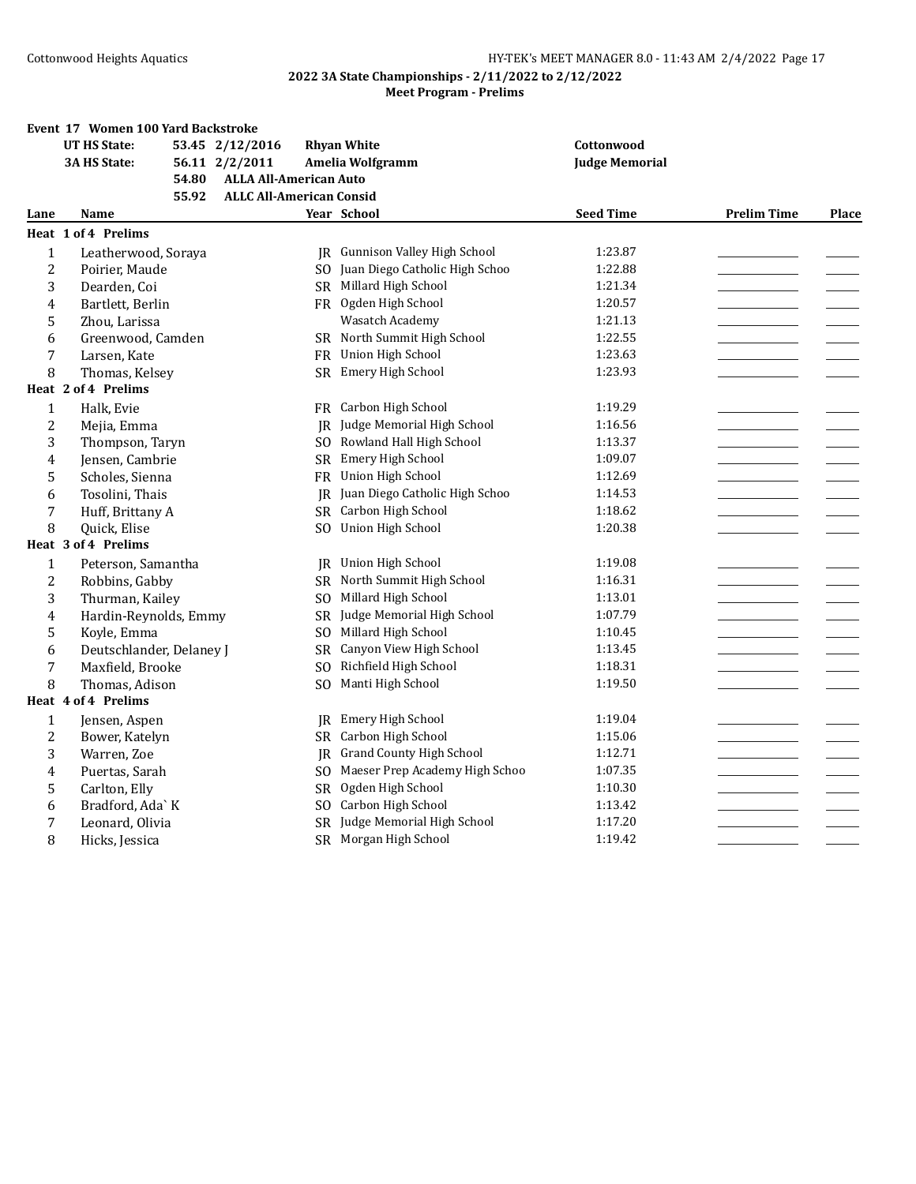|                | Event 17 Women 100 Yard Backstroke |                                 |                                       |                       |                    |              |
|----------------|------------------------------------|---------------------------------|---------------------------------------|-----------------------|--------------------|--------------|
|                | <b>UT HS State:</b>                | 53.45 2/12/2016                 | <b>Rhyan White</b>                    | Cottonwood            |                    |              |
|                | <b>3A HS State:</b>                | 56.11 2/2/2011                  | Amelia Wolfgramm                      | <b>Judge Memorial</b> |                    |              |
|                | 54.80                              | <b>ALLA All-American Auto</b>   |                                       |                       |                    |              |
|                | 55.92                              | <b>ALLC All-American Consid</b> |                                       |                       |                    |              |
| Lane           | Name                               |                                 | Year School                           | <b>Seed Time</b>      | <b>Prelim Time</b> | <b>Place</b> |
|                | Heat 1 of 4 Prelims                |                                 |                                       |                       |                    |              |
| $\mathbf{1}$   | Leatherwood, Soraya                |                                 | <b>IR</b> Gunnison Valley High School | 1:23.87               |                    |              |
| $\overline{c}$ | Poirier, Maude                     | SO.                             | Juan Diego Catholic High Schoo        | 1:22.88               |                    |              |
| 3              | Dearden, Coi                       |                                 | SR Millard High School                | 1:21.34               |                    |              |
| 4              | Bartlett, Berlin                   |                                 | FR Ogden High School                  | 1:20.57               |                    |              |
| 5              | Zhou, Larissa                      |                                 | Wasatch Academy                       | 1:21.13               |                    |              |
| 6              | Greenwood, Camden                  |                                 | SR North Summit High School           | 1:22.55               |                    |              |
| 7              | Larsen, Kate                       |                                 | FR Union High School                  | 1:23.63               |                    |              |
| 8              | Thomas, Kelsey                     |                                 | SR Emery High School                  | 1:23.93               |                    |              |
|                | Heat 2 of 4 Prelims                |                                 |                                       |                       |                    |              |
| $\mathbf{1}$   | Halk, Evie                         |                                 | FR Carbon High School                 | 1:19.29               |                    |              |
| $\overline{c}$ | Mejia, Emma                        | IR                              | Judge Memorial High School            | 1:16.56               |                    |              |
| 3              | Thompson, Taryn                    |                                 | SO Rowland Hall High School           | 1:13.37               |                    |              |
| 4              | Jensen, Cambrie                    | <b>SR</b>                       | Emery High School                     | 1:09.07               |                    |              |
| 5              | Scholes, Sienna                    | FR                              | Union High School                     | 1:12.69               |                    |              |
| 6              | Tosolini, Thais                    | IR                              | Juan Diego Catholic High Schoo        | 1:14.53               |                    |              |
| 7              | Huff, Brittany A                   |                                 | SR Carbon High School                 | 1:18.62               |                    |              |
| 8              | Quick, Elise                       | SO.                             | Union High School                     | 1:20.38               |                    |              |
|                | Heat 3 of 4 Prelims                |                                 |                                       |                       |                    |              |
| $\mathbf{1}$   | Peterson, Samantha                 | IR                              | Union High School                     | 1:19.08               |                    |              |
| $\overline{c}$ | Robbins, Gabby                     |                                 | SR North Summit High School           | 1:16.31               |                    |              |
| 3              | Thurman, Kailey                    | SO.                             | Millard High School                   | 1:13.01               |                    |              |
| 4              | Hardin-Reynolds, Emmy              | SR.                             | Judge Memorial High School            | 1:07.79               |                    |              |
| 5              | Koyle, Emma                        | SO.                             | Millard High School                   | 1:10.45               |                    |              |
| 6              | Deutschlander, Delaney J           | SR                              | Canyon View High School               | 1:13.45               |                    |              |
| 7              | Maxfield, Brooke                   | SO.                             | Richfield High School                 | 1:18.31               |                    |              |
| 8              | Thomas, Adison                     | SO.                             | Manti High School                     | 1:19.50               |                    |              |
|                | Heat 4 of 4 Prelims                |                                 |                                       |                       |                    |              |
| 1              | Jensen, Aspen                      | IR                              | Emery High School                     | 1:19.04               |                    |              |
| $\overline{c}$ | Bower, Katelyn                     |                                 | SR Carbon High School                 | 1:15.06               |                    |              |
| 3              | Warren, Zoe                        | IR                              | <b>Grand County High School</b>       | 1:12.71               |                    |              |
| 4              | Puertas, Sarah                     | SO.                             | Maeser Prep Academy High Schoo        | 1:07.35               |                    |              |
| 5              | Carlton, Elly                      | SR.                             | Ogden High School                     | 1:10.30               |                    |              |
| 6              | Bradford, Ada` K                   | SO.                             | Carbon High School                    | 1:13.42               |                    |              |
| 7              | Leonard, Olivia                    |                                 | SR Judge Memorial High School         | 1:17.20               |                    |              |
| 8              | Hicks, Jessica                     |                                 | SR Morgan High School                 | 1:19.42               |                    |              |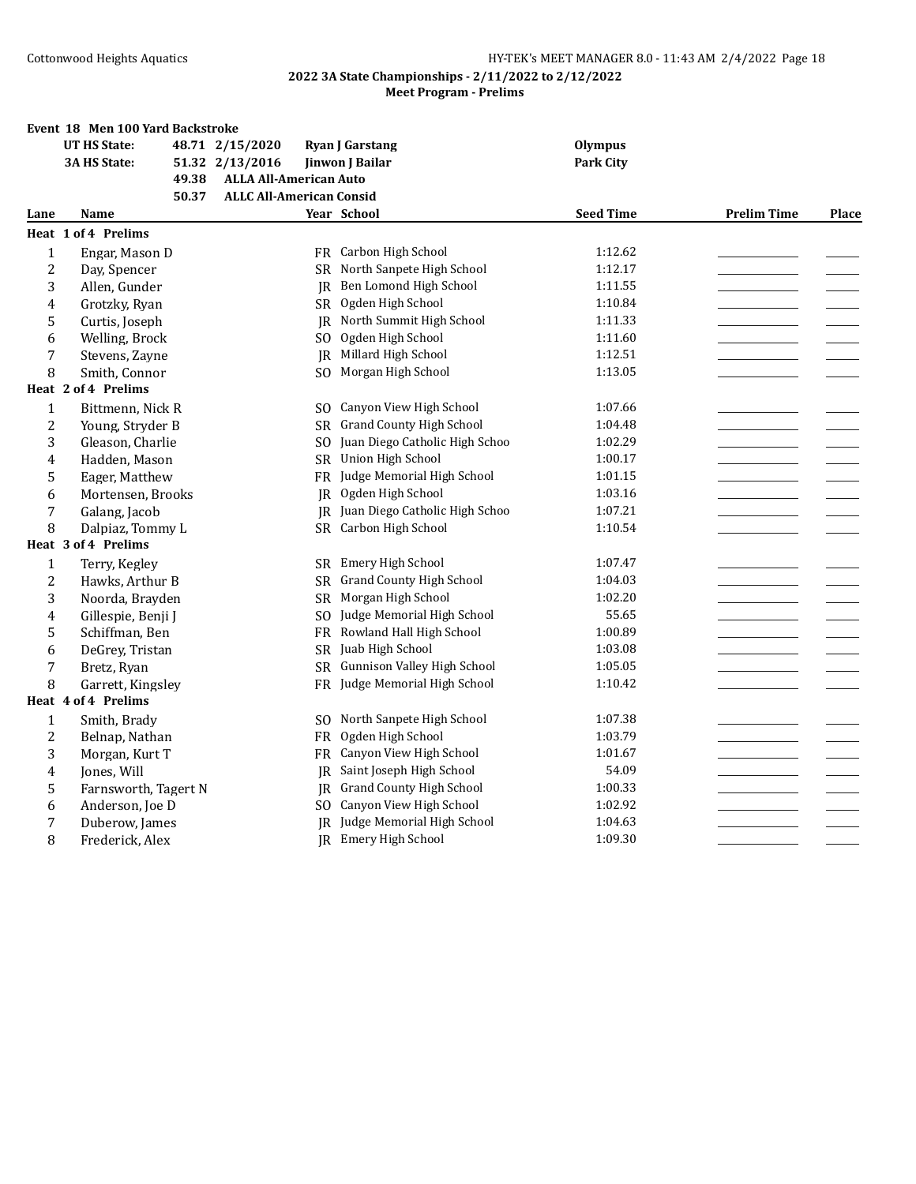|                | Event 18 Men 100 Yard Backstroke |                                 |                                 |                  |                    |       |
|----------------|----------------------------------|---------------------------------|---------------------------------|------------------|--------------------|-------|
|                | <b>UT HS State:</b>              | 48.71 2/15/2020                 | <b>Ryan J Garstang</b>          | <b>Olympus</b>   |                    |       |
|                | <b>3A HS State:</b>              | 51.32 2/13/2016                 | Jinwon J Bailar                 | <b>Park City</b> |                    |       |
|                | 49.38                            | <b>ALLA All-American Auto</b>   |                                 |                  |                    |       |
|                | 50.37                            | <b>ALLC All-American Consid</b> |                                 |                  |                    |       |
| Lane           | Name                             |                                 | Year School                     | <b>Seed Time</b> | <b>Prelim Time</b> | Place |
|                | Heat 1 of 4 Prelims              |                                 |                                 |                  |                    |       |
| $\mathbf{1}$   | Engar, Mason D                   |                                 | FR Carbon High School           | 1:12.62          |                    |       |
| $\overline{c}$ | Day, Spencer                     | SR.                             | North Sanpete High School       | 1:12.17          |                    |       |
| 3              | Allen, Gunder                    | IR                              | Ben Lomond High School          | 1:11.55          |                    |       |
| 4              | Grotzky, Ryan                    | SR                              | Ogden High School               | 1:10.84          |                    |       |
| 5              | Curtis, Joseph                   | IR.                             | North Summit High School        | 1:11.33          |                    |       |
| 6              | Welling, Brock                   | SO.                             | Ogden High School               | 1:11.60          |                    |       |
| 7              | Stevens, Zayne                   | <b>IR</b>                       | Millard High School             | 1:12.51          |                    |       |
| 8              | Smith, Connor                    | SO.                             | Morgan High School              | 1:13.05          |                    |       |
|                | Heat 2 of 4 Prelims              |                                 |                                 |                  |                    |       |
| $\mathbf{1}$   | Bittmenn, Nick R                 | SO.                             | Canyon View High School         | 1:07.66          |                    |       |
| 2              | Young, Stryder B                 | SR.                             | <b>Grand County High School</b> | 1:04.48          |                    |       |
| 3              | Gleason, Charlie                 | S <sub>O</sub>                  | Juan Diego Catholic High Schoo  | 1:02.29          |                    |       |
| 4              | Hadden, Mason                    | <b>SR</b>                       | Union High School               | 1:00.17          |                    |       |
| 5              | Eager, Matthew                   | FR                              | Judge Memorial High School      | 1:01.15          |                    |       |
| 6              | Mortensen, Brooks                | IR                              | Ogden High School               | 1:03.16          |                    |       |
| 7              | Galang, Jacob                    | IR.                             | Juan Diego Catholic High Schoo  | 1:07.21          |                    |       |
| 8              | Dalpiaz, Tommy L                 | <b>SR</b>                       | Carbon High School              | 1:10.54          |                    |       |
|                | Heat 3 of 4 Prelims              |                                 |                                 |                  |                    |       |
| $\mathbf{1}$   | Terry, Kegley                    | SR.                             | Emery High School               | 1:07.47          |                    |       |
| $\overline{c}$ | Hawks, Arthur B                  | SR.                             | <b>Grand County High School</b> | 1:04.03          |                    |       |
| 3              | Noorda, Brayden                  | SR.                             | Morgan High School              | 1:02.20          |                    |       |
| 4              | Gillespie, Benji J               | SO.                             | Judge Memorial High School      | 55.65            |                    |       |
| 5              | Schiffman, Ben                   | FR                              | Rowland Hall High School        | 1:00.89          |                    |       |
| 6              | DeGrey, Tristan                  |                                 | SR Juab High School             | 1:03.08          |                    |       |
| 7              | Bretz, Ryan                      | <b>SR</b>                       | Gunnison Valley High School     | 1:05.05          |                    |       |
| 8              | Garrett, Kingsley                |                                 | FR Judge Memorial High School   | 1:10.42          |                    |       |
|                | Heat 4 of 4 Prelims              |                                 |                                 |                  |                    |       |
| $\mathbf{1}$   | Smith, Brady                     |                                 | SO North Sanpete High School    | 1:07.38          |                    |       |
| 2              | Belnap, Nathan                   | FR                              | Ogden High School               | 1:03.79          |                    |       |
| 3              | Morgan, Kurt T                   | FR                              | Canyon View High School         | 1:01.67          |                    |       |
| 4              | Jones, Will                      | IR                              | Saint Joseph High School        | 54.09            |                    |       |
| 5              | Farnsworth, Tagert N             | IR                              | <b>Grand County High School</b> | 1:00.33          |                    |       |
| 6              | Anderson, Joe D                  |                                 | SO Canyon View High School      | 1:02.92          |                    |       |
| 7              | Duberow, James                   | IR.                             | Judge Memorial High School      | 1:04.63          |                    |       |
| 8              | Frederick, Alex                  |                                 | JR Emery High School            | 1:09.30          |                    |       |
|                |                                  |                                 |                                 |                  |                    |       |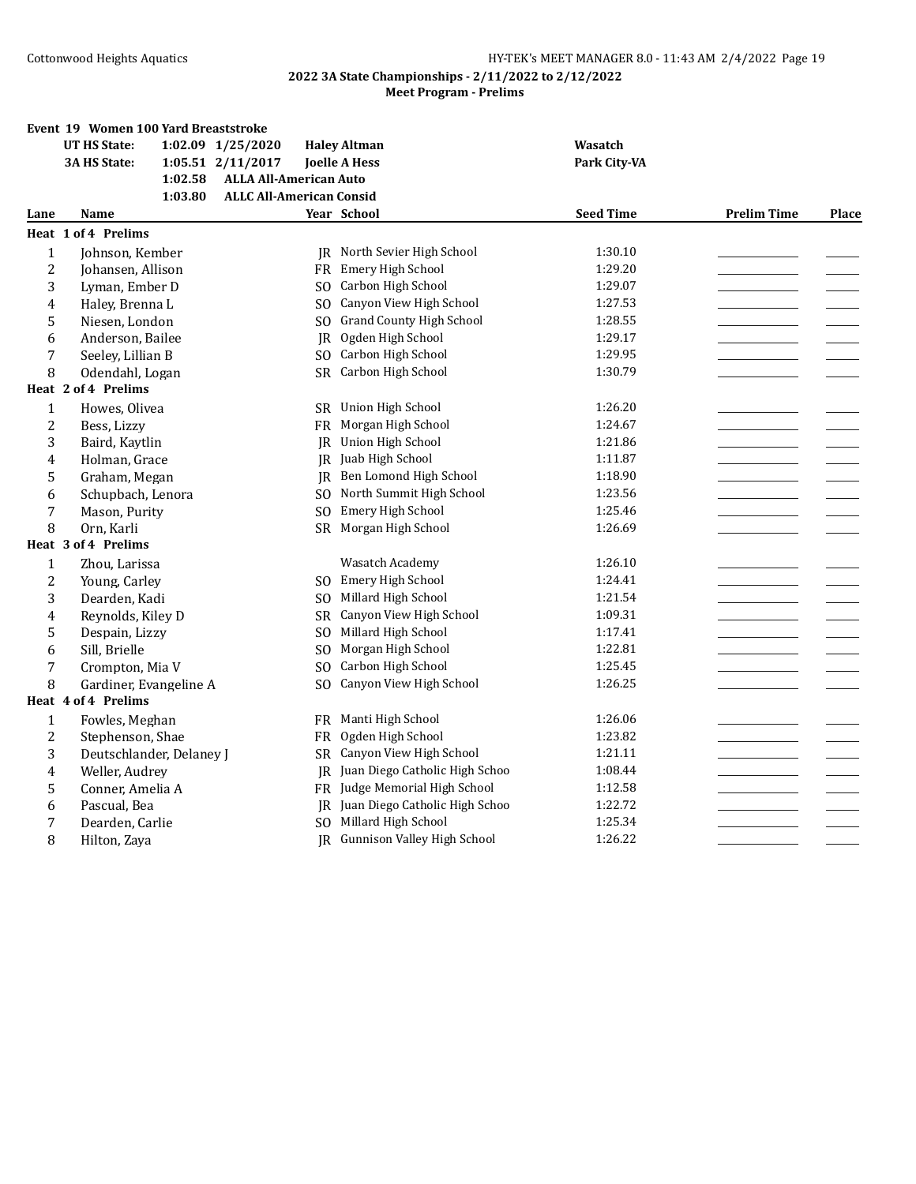|                | Event 19 Women 100 Yard Breaststroke |                                 |                                 |                  |                    |       |
|----------------|--------------------------------------|---------------------------------|---------------------------------|------------------|--------------------|-------|
|                | <b>UT HS State:</b>                  | 1:02.09 1/25/2020               | <b>Haley Altman</b>             | Wasatch          |                    |       |
|                | 3A HS State:                         | 1:05.51 2/11/2017               | <b>Joelle A Hess</b>            | Park City-VA     |                    |       |
|                | 1:02.58                              | <b>ALLA All-American Auto</b>   |                                 |                  |                    |       |
|                | 1:03.80                              | <b>ALLC All-American Consid</b> |                                 |                  |                    |       |
| Lane           | Name                                 |                                 | Year School                     | <b>Seed Time</b> | <b>Prelim Time</b> | Place |
|                | Heat 1 of 4 Prelims                  |                                 |                                 |                  |                    |       |
| $\mathbf{1}$   | Johnson, Kember                      |                                 | IR North Sevier High School     | 1:30.10          |                    |       |
| $\overline{c}$ | Johansen, Allison                    | FR                              | Emery High School               | 1:29.20          |                    |       |
| 3              | Lyman, Ember D                       | S <sub>O</sub>                  | Carbon High School              | 1:29.07          |                    |       |
| 4              | Haley, Brenna L                      | SO.                             | Canyon View High School         | 1:27.53          |                    |       |
| 5              | Niesen, London                       | SO.                             | <b>Grand County High School</b> | 1:28.55          |                    |       |
| 6              | Anderson, Bailee                     | JR                              | Ogden High School               | 1:29.17          |                    |       |
| 7              | Seeley, Lillian B                    | SO.                             | Carbon High School              | 1:29.95          |                    |       |
| 8              | Odendahl, Logan                      |                                 | SR Carbon High School           | 1:30.79          |                    |       |
|                | Heat 2 of 4 Prelims                  |                                 |                                 |                  |                    |       |
| $\mathbf{1}$   | Howes, Olivea                        |                                 | SR Union High School            | 1:26.20          |                    |       |
| $\overline{2}$ | Bess, Lizzy                          | FR                              | Morgan High School              | 1:24.67          |                    |       |
| 3              | Baird, Kaytlin                       |                                 | JR Union High School            | 1:21.86          |                    |       |
| 4              | Holman, Grace                        |                                 | JR Juab High School             | 1:11.87          |                    |       |
| 5              | Graham, Megan                        | IR                              | Ben Lomond High School          | 1:18.90          |                    |       |
| 6              | Schupbach, Lenora                    | SO.                             | North Summit High School        | 1:23.56          |                    |       |
| 7              | Mason, Purity                        | S <sub>O</sub>                  | Emery High School               | 1:25.46          |                    |       |
| 8              | Orn, Karli                           |                                 | SR Morgan High School           | 1:26.69          |                    |       |
|                | Heat 3 of 4 Prelims                  |                                 |                                 |                  |                    |       |
| $\mathbf{1}$   | Zhou, Larissa                        |                                 | Wasatch Academy                 | 1:26.10          |                    |       |
| $\overline{2}$ | Young, Carley                        | SO.                             | Emery High School               | 1:24.41          |                    |       |
| 3              | Dearden, Kadi                        | S <sub>O</sub>                  | Millard High School             | 1:21.54          |                    |       |
| 4              | Reynolds, Kiley D                    | <b>SR</b>                       | Canyon View High School         | 1:09.31          |                    |       |
| 5              | Despain, Lizzy                       | S <sub>O</sub>                  | Millard High School             | 1:17.41          |                    |       |
| 6              | Sill, Brielle                        | SO.                             | Morgan High School              | 1:22.81          |                    |       |
| 7              | Crompton, Mia V                      | S <sub>O</sub>                  | Carbon High School              | 1:25.45          |                    |       |
| 8              | Gardiner, Evangeline A               | SO.                             | Canyon View High School         | 1:26.25          |                    |       |
|                | Heat 4 of 4 Prelims                  |                                 |                                 |                  |                    |       |
| $\mathbf{1}$   | Fowles, Meghan                       | FR                              | Manti High School               | 1:26.06          |                    |       |
| 2              | Stephenson, Shae                     | FR                              | Ogden High School               | 1:23.82          |                    |       |
| 3              | Deutschlander, Delaney J             |                                 | SR Canyon View High School      | 1:21.11          |                    |       |
| 4              | Weller, Audrey                       | IR.                             | Juan Diego Catholic High Schoo  | 1:08.44          |                    |       |
| 5              | Conner, Amelia A                     |                                 | FR Judge Memorial High School   | 1:12.58          |                    |       |
| 6              | Pascual, Bea                         | JR                              | Juan Diego Catholic High Schoo  | 1:22.72          |                    |       |
| 7              | Dearden, Carlie                      | S <sub>O</sub>                  | Millard High School             | 1:25.34          |                    |       |
| 8              | Hilton, Zaya                         |                                 | JR Gunnison Valley High School  | 1:26.22          |                    |       |
|                |                                      |                                 |                                 |                  |                    |       |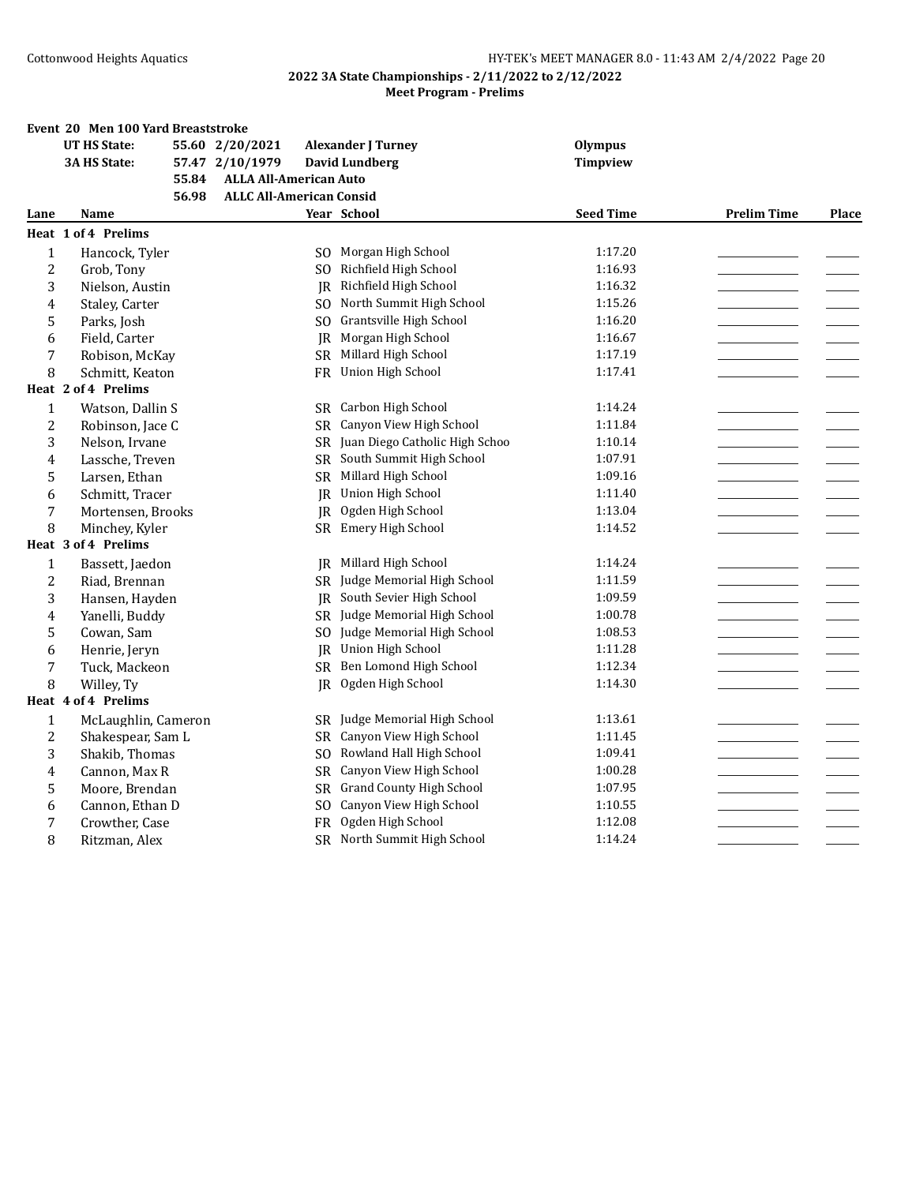|                | Event 20 Men 100 Yard Breaststroke |       |                                 |                |                                   |                  |                    |       |
|----------------|------------------------------------|-------|---------------------------------|----------------|-----------------------------------|------------------|--------------------|-------|
|                | <b>UT HS State:</b>                |       | 55.60 2/20/2021                 |                | <b>Alexander J Turney</b>         | <b>Olympus</b>   |                    |       |
|                | 3A HS State:                       |       | 57.47 2/10/1979                 |                | <b>David Lundberg</b>             | <b>Timpview</b>  |                    |       |
|                |                                    | 55.84 | <b>ALLA All-American Auto</b>   |                |                                   |                  |                    |       |
|                |                                    | 56.98 | <b>ALLC All-American Consid</b> |                |                                   |                  |                    |       |
| Lane           | Name                               |       |                                 |                | Year School                       | <b>Seed Time</b> | <b>Prelim Time</b> | Place |
|                | <b>Heat 1 of 4 Prelims</b>         |       |                                 |                |                                   |                  |                    |       |
| $\mathbf{1}$   | Hancock, Tyler                     |       |                                 | SO.            | Morgan High School                | 1:17.20          |                    |       |
| $\overline{2}$ | Grob, Tony                         |       |                                 | SO.            | Richfield High School             | 1:16.93          |                    |       |
| 3              | Nielson, Austin                    |       |                                 | JR             | Richfield High School             | 1:16.32          |                    |       |
| 4              | Staley, Carter                     |       |                                 | SO.            | North Summit High School          | 1:15.26          |                    |       |
| 5              | Parks, Josh                        |       |                                 | S <sub>O</sub> | Grantsville High School           | 1:16.20          |                    |       |
| 6              | Field, Carter                      |       |                                 | JR             | Morgan High School                | 1:16.67          |                    |       |
| 7              | Robison, McKay                     |       |                                 |                | SR Millard High School            | 1:17.19          |                    |       |
| 8              | Schmitt, Keaton                    |       |                                 | FR             | Union High School                 | 1:17.41          |                    |       |
|                | Heat 2 of 4 Prelims                |       |                                 |                |                                   |                  |                    |       |
| $\mathbf{1}$   | Watson, Dallin S                   |       |                                 |                | SR Carbon High School             | 1:14.24          |                    |       |
| $\overline{2}$ | Robinson, Jace C                   |       |                                 | SR             | Canyon View High School           | 1:11.84          |                    |       |
| 3              | Nelson, Irvane                     |       |                                 |                | SR Juan Diego Catholic High Schoo | 1:10.14          |                    |       |
| 4              | Lassche, Treven                    |       |                                 | <b>SR</b>      | South Summit High School          | 1:07.91          |                    |       |
| 5              | Larsen, Ethan                      |       |                                 |                | SR Millard High School            | 1:09.16          |                    |       |
| 6              | Schmitt, Tracer                    |       |                                 | JR             | Union High School                 | 1:11.40          |                    |       |
| 7              | Mortensen, Brooks                  |       |                                 | IR             | Ogden High School                 | 1:13.04          |                    |       |
| 8              | Minchey, Kyler                     |       |                                 | <b>SR</b>      | Emery High School                 | 1:14.52          |                    |       |
|                | Heat 3 of 4 Prelims                |       |                                 |                |                                   |                  |                    |       |
| 1              | Bassett, Jaedon                    |       |                                 | IR             | Millard High School               | 1:14.24          |                    |       |
| $\overline{2}$ | Riad, Brennan                      |       |                                 |                | SR Judge Memorial High School     | 1:11.59          |                    |       |
| 3              | Hansen, Hayden                     |       |                                 | IR             | South Sevier High School          | 1:09.59          |                    |       |
| 4              | Yanelli, Buddy                     |       |                                 | <b>SR</b>      | Judge Memorial High School        | 1:00.78          |                    |       |
| 5              | Cowan, Sam                         |       |                                 | S <sub>O</sub> | Judge Memorial High School        | 1:08.53          |                    |       |
| 6              | Henrie, Jeryn                      |       |                                 | IR             | Union High School                 | 1:11.28          |                    |       |
| 7              | Tuck, Mackeon                      |       |                                 | SR             | Ben Lomond High School            | 1:12.34          |                    |       |
| 8              | Willey, Ty                         |       |                                 | JR             | Ogden High School                 | 1:14.30          |                    |       |
|                | Heat 4 of 4 Prelims                |       |                                 |                |                                   |                  |                    |       |
| $\mathbf{1}$   | McLaughlin, Cameron                |       |                                 | <b>SR</b>      | Judge Memorial High School        | 1:13.61          |                    |       |
| $\overline{2}$ | Shakespear, Sam L                  |       |                                 | SR -           | Canyon View High School           | 1:11.45          |                    |       |
| 3              | Shakib, Thomas                     |       |                                 | SO.            | Rowland Hall High School          | 1:09.41          |                    |       |
| 4              | Cannon, Max R                      |       |                                 | <b>SR</b>      | Canyon View High School           | 1:00.28          |                    |       |
| 5              | Moore, Brendan                     |       |                                 | SR             | <b>Grand County High School</b>   | 1:07.95          |                    |       |
| 6              | Cannon, Ethan D                    |       |                                 | S <sub>O</sub> | Canyon View High School           | 1:10.55          |                    |       |
| 7              | Crowther, Case                     |       |                                 | FR             | Ogden High School                 | 1:12.08          |                    |       |
| 8              | Ritzman, Alex                      |       |                                 | SR             | North Summit High School          | 1:14.24          |                    |       |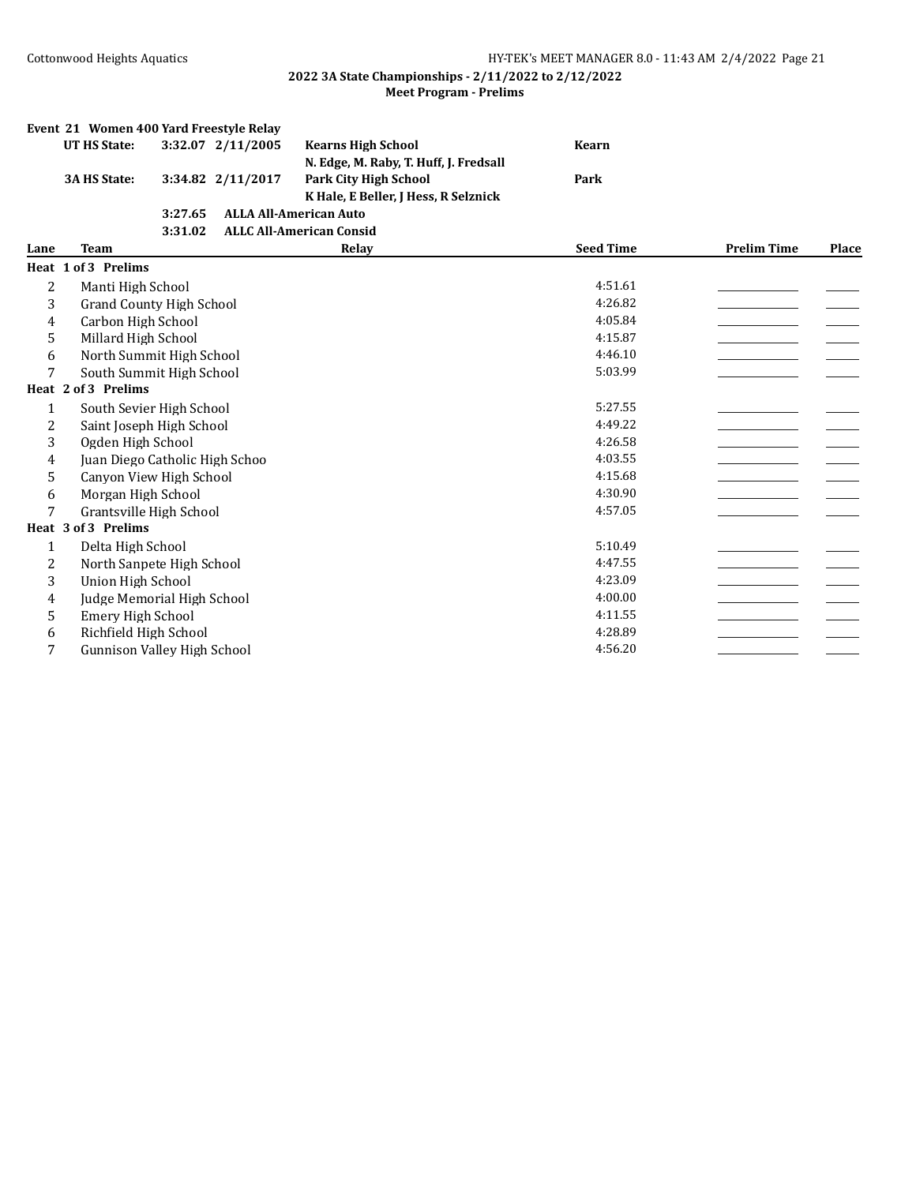|              | Event 21 Women 400 Yard Freestyle Relay |         |                   |                                        |                  |                    |       |
|--------------|-----------------------------------------|---------|-------------------|----------------------------------------|------------------|--------------------|-------|
|              | <b>UT HS State:</b>                     |         | 3:32.07 2/11/2005 | <b>Kearns High School</b>              | <b>Kearn</b>     |                    |       |
|              |                                         |         |                   | N. Edge, M. Raby, T. Huff, J. Fredsall |                  |                    |       |
|              | <b>3A HS State:</b>                     |         | 3:34.82 2/11/2017 | <b>Park City High School</b>           | Park             |                    |       |
|              |                                         |         |                   | K Hale, E Beller, J Hess, R Selznick   |                  |                    |       |
|              |                                         | 3:27.65 |                   | <b>ALLA All-American Auto</b>          |                  |                    |       |
|              |                                         | 3:31.02 |                   | <b>ALLC All-American Consid</b>        |                  |                    |       |
| Lane         | <b>Team</b>                             |         |                   | Relay                                  | <b>Seed Time</b> | <b>Prelim Time</b> | Place |
|              | Heat 1 of 3 Prelims                     |         |                   |                                        |                  |                    |       |
| 2            | Manti High School                       |         |                   |                                        | 4:51.61          |                    |       |
| 3            | <b>Grand County High School</b>         |         |                   |                                        | 4:26.82          |                    |       |
| 4            | Carbon High School                      |         |                   |                                        | 4:05.84          |                    |       |
| 5            | Millard High School                     |         |                   |                                        | 4:15.87          |                    |       |
| 6            | North Summit High School                |         |                   |                                        | 4:46.10          |                    |       |
| 7            | South Summit High School                |         |                   |                                        | 5:03.99          |                    |       |
|              | Heat 2 of 3 Prelims                     |         |                   |                                        |                  |                    |       |
| 1            | South Sevier High School                |         |                   |                                        | 5:27.55          |                    |       |
| 2            | Saint Joseph High School                |         |                   |                                        | 4:49.22          |                    |       |
| 3            | Ogden High School                       |         |                   |                                        | 4:26.58          |                    |       |
| 4            | Juan Diego Catholic High Schoo          |         |                   |                                        | 4:03.55          |                    |       |
| 5            | Canyon View High School                 |         |                   |                                        | 4:15.68          |                    |       |
| 6            | Morgan High School                      |         |                   |                                        | 4:30.90          |                    |       |
| 7            | Grantsville High School                 |         |                   |                                        | 4:57.05          |                    |       |
|              | Heat 3 of 3 Prelims                     |         |                   |                                        |                  |                    |       |
| $\mathbf{1}$ | Delta High School                       |         |                   |                                        | 5:10.49          |                    |       |
| 2            | North Sanpete High School               |         |                   |                                        | 4:47.55          |                    |       |
| 3            | <b>Union High School</b>                |         |                   |                                        | 4:23.09          |                    |       |
| 4            | Judge Memorial High School              |         |                   |                                        | 4:00.00          |                    |       |
| 5            | <b>Emery High School</b>                |         |                   |                                        | 4:11.55          |                    |       |
| 6            | Richfield High School                   |         |                   |                                        | 4:28.89          |                    |       |
| 7            | <b>Gunnison Valley High School</b>      |         |                   |                                        | 4:56.20          |                    |       |